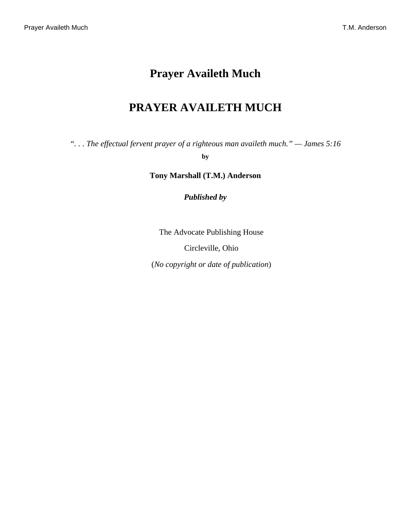# **Prayer Availeth Much**

# **PRAYER AVAILETH MUCH**

<span id="page-0-0"></span>*". . . The effectual fervent prayer of a righteous man availeth much." — [James 5:16](http://www.ccel.org/b/bible/asv/xml/asv.Jas.5.xml#Jas.5.16)*

**by**

**Tony Marshall (T.M.) Anderson**

*Published by*

The Advocate Publishing House

Circleville, Ohio

(*No copyright or date of publication*)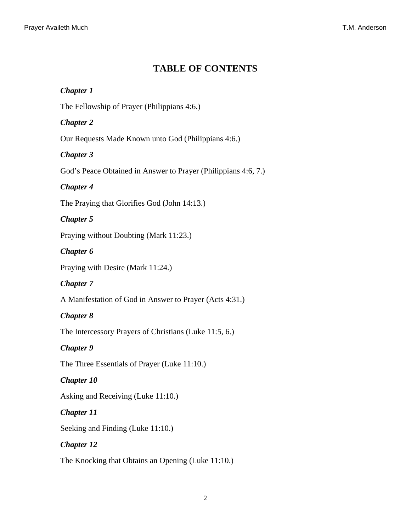# **TABLE OF CONTENTS**

# <span id="page-1-9"></span>*Chapter 1*

The Fellowship of Prayer [\(Philippians 4:6.](http://www.ccel.org/b/bible/asv/xml/asv.Phil.4.xml#Phil.4.6))

# <span id="page-1-10"></span>*Chapter 2*

Our Requests Made Known unto God ([Philippians 4:6.](http://www.ccel.org/b/bible/asv/xml/asv.Phil.4.xml#Phil.4.6))

# <span id="page-1-11"></span>*Chapter 3*

God's Peace Obtained in Answer to Prayer ([Philippians 4:6, 7.](http://www.ccel.org/b/bible/asv/xml/asv.Phil.4.xml#Phil.4.6 Bible:Phil.4.7))

# <span id="page-1-7"></span>*Chapter 4*

<span id="page-1-0"></span>The Praying that Glorifies God [\(John 14:13](http://www.ccel.org/b/bible/asv/xml/asv.John.14.xml#John.14.13).)

# *Chapter 5*

<span id="page-1-1"></span>Praying without Doubting [\(Mark 11:23.](http://www.ccel.org/b/bible/asv/xml/asv.Mark.11.xml#Mark.11.23))

# *Chapter 6*

<span id="page-1-8"></span>Praying with Desire ([Mark 11:24](http://www.ccel.org/b/bible/asv/xml/asv.Mark.11.xml#Mark.11.24).)

# *Chapter 7*

<span id="page-1-2"></span>A Manifestation of God in Answer to Prayer [\(Acts 4:31.](http://www.ccel.org/b/bible/asv/xml/asv.Acts.4.xml#Acts.4.31))

# *Chapter 8*

<span id="page-1-3"></span>The Intercessory Prayers of Christians ([Luke 11:5, 6.](http://www.ccel.org/b/bible/asv/xml/asv.Luke.11.xml#Luke.11.5 Bible:Luke.11.6))

# <span id="page-1-4"></span>*Chapter 9*

The Three Essentials of Prayer ([Luke 11:10.](http://www.ccel.org/b/bible/asv/xml/asv.Luke.11.xml#Luke.11.10))

# <span id="page-1-5"></span>*Chapter 10*

Asking and Receiving ([Luke 11:10.](http://www.ccel.org/b/bible/asv/xml/asv.Luke.11.xml#Luke.11.10))

# <span id="page-1-6"></span>*Chapter 11*

Seeking and Finding [\(Luke 11:10](http://www.ccel.org/b/bible/asv/xml/asv.Luke.11.xml#Luke.11.10).)

# *Chapter 12*

The Knocking that Obtains an Opening ([Luke 11:10.](http://www.ccel.org/b/bible/asv/xml/asv.Luke.11.xml#Luke.11.10))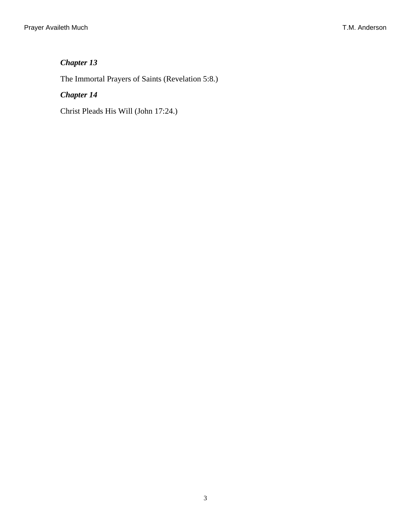# <span id="page-2-1"></span>*Chapter 13*

The Immortal Prayers of Saints ([Revelation 5:8.](http://www.ccel.org/b/bible/asv/xml/asv.Rev.5.xml#Rev.5.8))

# <span id="page-2-0"></span>*Chapter 14*

Christ Pleads His Will ([John 17:24.](http://www.ccel.org/b/bible/asv/xml/asv.John.17.xml#John.17.24))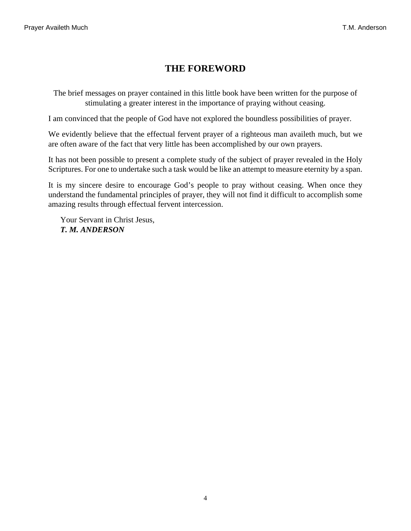# **THE FOREWORD**

The brief messages on prayer contained in this little book have been written for the purpose of stimulating a greater interest in the importance of praying without ceasing.

I am convinced that the people of God have not explored the boundless possibilities of prayer.

We evidently believe that the effectual fervent prayer of a righteous man availeth much, but we are often aware of the fact that very little has been accomplished by our own prayers.

It has not been possible to present a complete study of the subject of prayer revealed in the Holy Scriptures. For one to undertake such a task would be like an attempt to measure eternity by a span.

It is my sincere desire to encourage God's people to pray without ceasing. When once they understand the fundamental principles of prayer, they will not find it difficult to accomplish some amazing results through effectual fervent intercession.

Your Servant in Christ Jesus, *T. M. ANDERSON*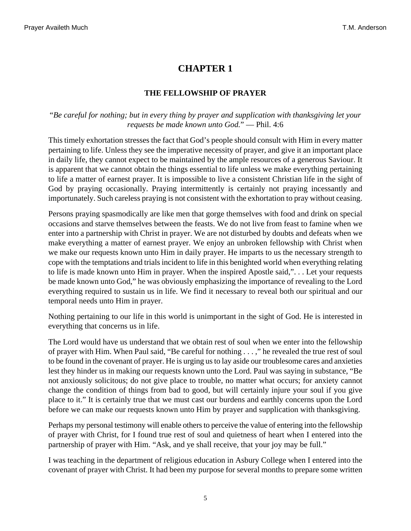### **THE FELLOWSHIP OF PRAYER**

#### <span id="page-4-0"></span>"*Be careful for nothing; but in every thing by prayer and supplication with thanksgiving let your requests be made known unto God.*" — [Phil. 4:6](http://www.ccel.org/b/bible/asv/xml/asv.Phil.4.xml#Phil.4.6)

This timely exhortation stresses the fact that God's people should consult with Him in every matter pertaining to life. Unless they see the imperative necessity of prayer, and give it an important place in daily life, they cannot expect to be maintained by the ample resources of a generous Saviour. It is apparent that we cannot obtain the things essential to life unless we make everything pertaining to life a matter of earnest prayer. It is impossible to live a consistent Christian life in the sight of God by praying occasionally. Praying intermittently is certainly not praying incessantly and importunately. Such careless praying is not consistent with the exhortation to pray without ceasing.

Persons praying spasmodically are like men that gorge themselves with food and drink on special occasions and starve themselves between the feasts. We do not live from feast to famine when we enter into a partnership with Christ in prayer. We are not disturbed by doubts and defeats when we make everything a matter of earnest prayer. We enjoy an unbroken fellowship with Christ when we make our requests known unto Him in daily prayer. He imparts to us the necessary strength to cope with the temptations and trials incident to life in this benighted world when everything relating to life is made known unto Him in prayer. When the inspired Apostle said,". . . Let your requests be made known unto God," he was obviously emphasizing the importance of revealing to the Lord everything required to sustain us in life. We find it necessary to reveal both our spiritual and our temporal needs unto Him in prayer.

Nothing pertaining to our life in this world is unimportant in the sight of God. He is interested in everything that concerns us in life.

The Lord would have us understand that we obtain rest of soul when we enter into the fellowship of prayer with Him. When Paul said, "Be careful for nothing . . . ," he revealed the true rest of soul to be found in the covenant of prayer. He is urging us to lay aside our troublesome cares and anxieties lest they hinder us in making our requests known unto the Lord. Paul was saying in substance, "Be not anxiously solicitous; do not give place to trouble, no matter what occurs; for anxiety cannot change the condition of things from bad to good, but will certainly injure your soul if you give place to it." It is certainly true that we must cast our burdens and earthly concerns upon the Lord before we can make our requests known unto Him by prayer and supplication with thanksgiving.

Perhaps my personal testimony will enable others to perceive the value of entering into the fellowship of prayer with Christ, for I found true rest of soul and quietness of heart when I entered into the partnership of prayer with Him. "Ask, and ye shall receive, that your joy may be full."

I was teaching in the department of religious education in Asbury College when I entered into the covenant of prayer with Christ. It had been my purpose for several months to prepare some written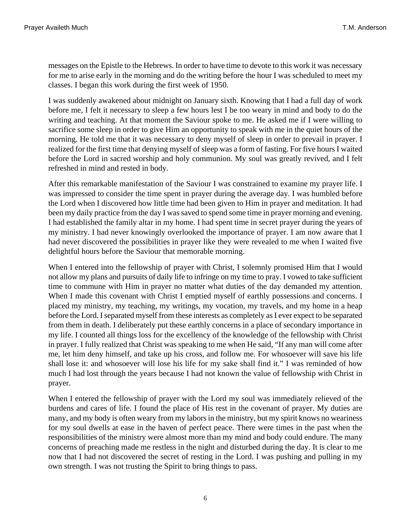messages on the Epistle to the Hebrews. In order to have time to devote to this work it was necessary for me to arise early in the morning and do the writing before the hour I was scheduled to meet my classes. I began this work during the first week of 1950.

I was suddenly awakened about midnight on January sixth. Knowing that I had a full day of work before me, I felt it necessary to sleep a few hours lest I be too weary in mind and body to do the writing and teaching. At that moment the Saviour spoke to me. He asked me if I were willing to sacrifice some sleep in order to give Him an opportunity to speak with me in the quiet hours of the morning. He told me that it was necessary to deny myself of sleep in order to prevail in prayer. I realized for the first time that denying myself of sleep was a form of fasting. For five hours I waited before the Lord in sacred worship and holy communion. My soul was greatly revived, and I felt refreshed in mind and rested in body.

After this remarkable manifestation of the Saviour I was constrained to examine my prayer life. I was impressed to consider the time spent in prayer during the average day. I was humbled before the Lord when I discovered how little time had been given to Him in prayer and meditation. It had been my daily practice from the day I was saved to spend some time in prayer morning and evening. I had established the family altar in my home. I had spent time in secret prayer during the years of my ministry. I had never knowingly overlooked the importance of prayer. I am now aware that I had never discovered the possibilities in prayer like they were revealed to me when I waited five delightful hours before the Saviour that memorable morning.

When I entered into the fellowship of prayer with Christ, I solemnly promised Him that I would not allow my plans and pursuits of daily life to infringe on my time to pray. I vowed to take sufficient time to commune with Him in prayer no matter what duties of the day demanded my attention. When I made this covenant with Christ I emptied myself of earthly possessions and concerns. I placed my ministry, my teaching, my writings, my vocation, my travels, and my home in a heap before the Lord. I separated myself from these interests as completely as I ever expect to be separated from them in death. I deliberately put these earthly concerns in a place of secondary importance in my life. I counted all things loss for the excellency of the knowledge of the fellowship with Christ in prayer. I fully realized that Christ was speaking to me when He said, "If any man will come after me, let him deny himself, and take up his cross, and follow me. For whosoever will save his life shall lose it: and whosoever will lose his life for my sake shall find it." I was reminded of how much I had lost through the years because I had not known the value of fellowship with Christ in prayer.

When I entered the fellowship of prayer with the Lord my soul was immediately relieved of the burdens and cares of life. I found the place of His rest in the covenant of prayer. My duties are many, and my body is often weary from my labors in the ministry, but my spirit knows no weariness for my soul dwells at ease in the haven of perfect peace. There were times in the past when the responsibilities of the ministry were almost more than my mind and body could endure. The many concerns of preaching made me restless in the night and disturbed during the day. It is clear to me now that I had not discovered the secret of resting in the Lord. I was pushing and pulling in my own strength. I was not trusting the Spirit to bring things to pass.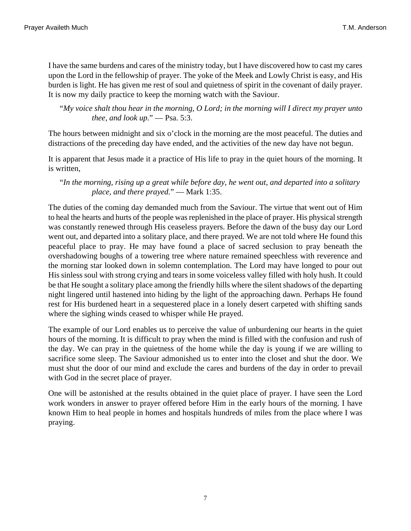I have the same burdens and cares of the ministry today, but I have discovered how to cast my cares upon the Lord in the fellowship of prayer. The yoke of the Meek and Lowly Christ is easy, and His burden is light. He has given me rest of soul and quietness of spirit in the covenant of daily prayer. It is now my daily practice to keep the morning watch with the Saviour.

<span id="page-6-0"></span>"*My voice shalt thou hear in the morning, O Lord; in the morning will I direct my prayer unto thee, and look up.*" — [Psa. 5:3.](http://www.ccel.org/b/bible/asv/xml/asv.Ps.5.xml#Ps.5.3)

The hours between midnight and six o'clock in the morning are the most peaceful. The duties and distractions of the preceding day have ended, and the activities of the new day have not begun.

It is apparent that Jesus made it a practice of His life to pray in the quiet hours of the morning. It is written,

<span id="page-6-1"></span>"*In the morning, rising up a great while before day, he went out, and departed into a solitary place, and there prayed.*" — [Mark 1:35.](http://www.ccel.org/b/bible/asv/xml/asv.Mark.1.xml#Mark.1.35)

The duties of the coming day demanded much from the Saviour. The virtue that went out of Him to heal the hearts and hurts of the people was replenished in the place of prayer. His physical strength was constantly renewed through His ceaseless prayers. Before the dawn of the busy day our Lord went out, and departed into a solitary place, and there prayed. We are not told where He found this peaceful place to pray. He may have found a place of sacred seclusion to pray beneath the overshadowing boughs of a towering tree where nature remained speechless with reverence and the morning star looked down in solemn contemplation. The Lord may have longed to pour out His sinless soul with strong crying and tears in some voiceless valley filled with holy hush. It could be that He sought a solitary place among the friendly hills where the silent shadows of the departing night lingered until hastened into hiding by the light of the approaching dawn. Perhaps He found rest for His burdened heart in a sequestered place in a lonely desert carpeted with shifting sands where the sighing winds ceased to whisper while He prayed.

The example of our Lord enables us to perceive the value of unburdening our hearts in the quiet hours of the morning. It is difficult to pray when the mind is filled with the confusion and rush of the day. We can pray in the quietness of the home while the day is young if we are willing to sacrifice some sleep. The Saviour admonished us to enter into the closet and shut the door. We must shut the door of our mind and exclude the cares and burdens of the day in order to prevail with God in the secret place of prayer.

One will be astonished at the results obtained in the quiet place of prayer. I have seen the Lord work wonders in answer to prayer offered before Him in the early hours of the morning. I have known Him to heal people in homes and hospitals hundreds of miles from the place where I was praying.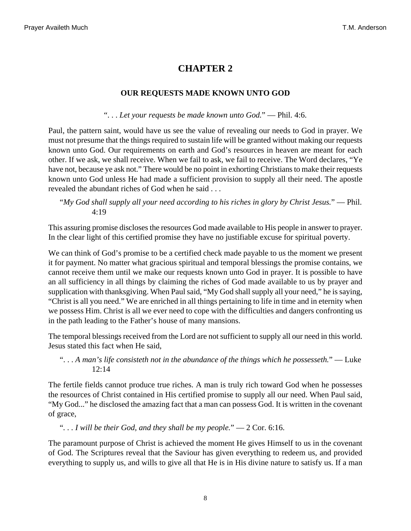### **OUR REQUESTS MADE KNOWN UNTO GOD**

". . . *Let your requests be made known unto God.*" — [Phil. 4:6](http://www.ccel.org/b/bible/asv/xml/asv.Phil.4.xml#Phil.4.6).

<span id="page-7-2"></span>Paul, the pattern saint, would have us see the value of revealing our needs to God in prayer. We must not presume that the things required to sustain life will be granted without making our requests known unto God. Our requirements on earth and God's resources in heaven are meant for each other. If we ask, we shall receive. When we fail to ask, we fail to receive. The Word declares, "Ye have not, because ye ask not." There would be no point in exhorting Christians to make their requests known unto God unless He had made a sufficient provision to supply all their need. The apostle revealed the abundant riches of God when he said . . .

<span id="page-7-3"></span>"*My God shall supply all your need according to his riches in glory by Christ Jesus.*" — [Phil.](http://www.ccel.org/b/bible/asv/xml/asv.Phil.4.xml#Phil.4.19) [4:19](http://www.ccel.org/b/bible/asv/xml/asv.Phil.4.xml#Phil.4.19)

This assuring promise discloses the resources God made available to His people in answer to prayer. In the clear light of this certified promise they have no justifiable excuse for spiritual poverty.

We can think of God's promise to be a certified check made payable to us the moment we present it for payment. No matter what gracious spiritual and temporal blessings the promise contains, we cannot receive them until we make our requests known unto God in prayer. It is possible to have an all sufficiency in all things by claiming the riches of God made available to us by prayer and supplication with thanksgiving. When Paul said, "My God shall supply all your need," he is saying, "Christ is all you need." We are enriched in all things pertaining to life in time and in eternity when we possess Him. Christ is all we ever need to cope with the difficulties and dangers confronting us in the path leading to the Father's house of many mansions.

<span id="page-7-0"></span>The temporal blessings received from the Lord are not sufficient to supply all our need in this world. Jesus stated this fact when He said,

". . . *A man's life consisteth not in the abundance of the things which he possesseth.*" — [Luke](http://www.ccel.org/b/bible/asv/xml/asv.Luke.12.xml#Luke.12.14) [12:14](http://www.ccel.org/b/bible/asv/xml/asv.Luke.12.xml#Luke.12.14)

<span id="page-7-1"></span>The fertile fields cannot produce true riches. A man is truly rich toward God when he possesses the resources of Christ contained in His certified promise to supply all our need. When Paul said, "My God..." he disclosed the amazing fact that a man can possess God. It is written in the covenant of grace,

"*. . . I will be their God, and they shall be my people.*" — [2 Cor. 6:16](http://www.ccel.org/b/bible/asv/xml/asv.iiCor.6.xml#iiCor.6.16).

The paramount purpose of Christ is achieved the moment He gives Himself to us in the covenant of God. The Scriptures reveal that the Saviour has given everything to redeem us, and provided everything to supply us, and wills to give all that He is in His divine nature to satisfy us. If a man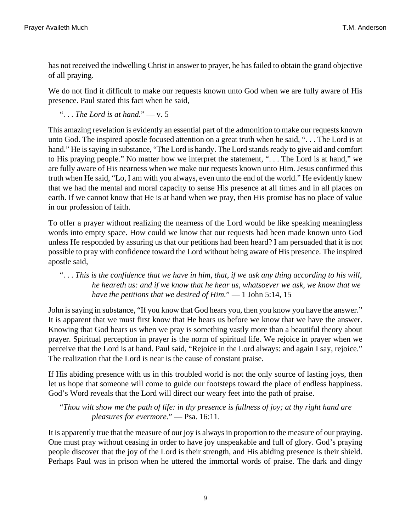has not received the indwelling Christ in answer to prayer, he has failed to obtain the grand objective of all praying.

We do not find it difficult to make our requests known unto God when we are fully aware of His presence. Paul stated this fact when he said,

<span id="page-8-1"></span>". . . *The Lord is at hand.*" — [v. 5](http://www.ccel.org/b/bible/asv/xml/asv.Phil.4.xml#Phil.4.5)

This amazing revelation is evidently an essential part of the admonition to make our requests known unto God. The inspired apostle focused attention on a great truth when he said, ". . . The Lord is at hand." He is saying in substance, "The Lord is handy. The Lord stands ready to give aid and comfort to His praying people." No matter how we interpret the statement, ". . . The Lord is at hand," we are fully aware of His nearness when we make our requests known unto Him. Jesus confirmed this truth when He said, "Lo, I am with you always, even unto the end of the world." He evidently knew that we had the mental and moral capacity to sense His presence at all times and in all places on earth. If we cannot know that He is at hand when we pray, then His promise has no place of value in our profession of faith.

To offer a prayer without realizing the nearness of the Lord would be like speaking meaningless words into empty space. How could we know that our requests had been made known unto God unless He responded by assuring us that our petitions had been heard? I am persuaded that it is not possible to pray with confidence toward the Lord without being aware of His presence. The inspired apostle said,

### <span id="page-8-2"></span>". . . *This is the confidence that we have in him, that, if we ask any thing according to his will, he heareth us: and if we know that he hear us, whatsoever we ask, we know that we have the petitions that we desired of Him.*" — [1 John 5:14, 15](http://www.ccel.org/b/bible/asv/xml/asv.iJohn.5.xml#iJohn.5.14 Bible:1John.5.15)

John is saying in substance, "If you know that God hears you, then you know you have the answer." It is apparent that we must first know that He hears us before we know that we have the answer. Knowing that God hears us when we pray is something vastly more than a beautiful theory about prayer. Spiritual perception in prayer is the norm of spiritual life. We rejoice in prayer when we perceive that the Lord is at hand. Paul said, "Rejoice in the Lord always: and again I say, rejoice." The realization that the Lord is near is the cause of constant praise.

<span id="page-8-0"></span>If His abiding presence with us in this troubled world is not the only source of lasting joys, then let us hope that someone will come to guide our footsteps toward the place of endless happiness. God's Word reveals that the Lord will direct our weary feet into the path of praise.

"*Thou wilt show me the path of life: in thy presence is fullness of joy; at thy right hand are pleasures for evermore.*" — [Psa. 16:11.](http://www.ccel.org/b/bible/asv/xml/asv.Ps.16.xml#Ps.16.11)

It is apparently true that the measure of our joy is always in proportion to the measure of our praying. One must pray without ceasing in order to have joy unspeakable and full of glory. God's praying people discover that the joy of the Lord is their strength, and His abiding presence is their shield. Perhaps Paul was in prison when he uttered the immortal words of praise. The dark and dingy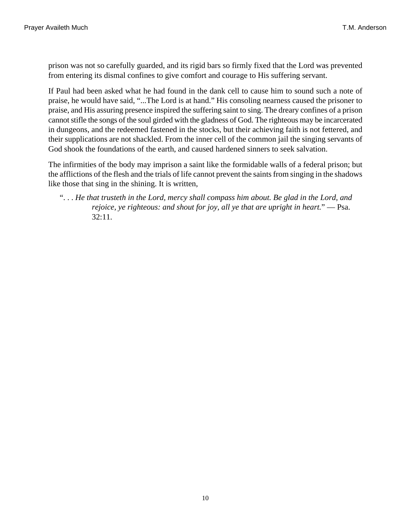prison was not so carefully guarded, and its rigid bars so firmly fixed that the Lord was prevented from entering its dismal confines to give comfort and courage to His suffering servant.

If Paul had been asked what he had found in the dank cell to cause him to sound such a note of praise, he would have said, "...The Lord is at hand." His consoling nearness caused the prisoner to praise, and His assuring presence inspired the suffering saint to sing. The dreary confines of a prison cannot stifle the songs of the soul girded with the gladness of God. The righteous may be incarcerated in dungeons, and the redeemed fastened in the stocks, but their achieving faith is not fettered, and their supplications are not shackled. From the inner cell of the common jail the singing servants of God shook the foundations of the earth, and caused hardened sinners to seek salvation.

The infirmities of the body may imprison a saint like the formidable walls of a federal prison; but the afflictions of the flesh and the trials of life cannot prevent the saints from singing in the shadows like those that sing in the shining. It is written,

<span id="page-9-0"></span><sup>&</sup>quot;. . . *He that trusteth in the Lord, mercy shall compass him about. Be glad in the Lord, and rejoice, ye righteous: and shout for joy, all ye that are upright in heart.*" — [Psa.](http://www.ccel.org/b/bible/asv/xml/asv.Ps.32.xml#Ps.32.11) [32:11](http://www.ccel.org/b/bible/asv/xml/asv.Ps.32.xml#Ps.32.11).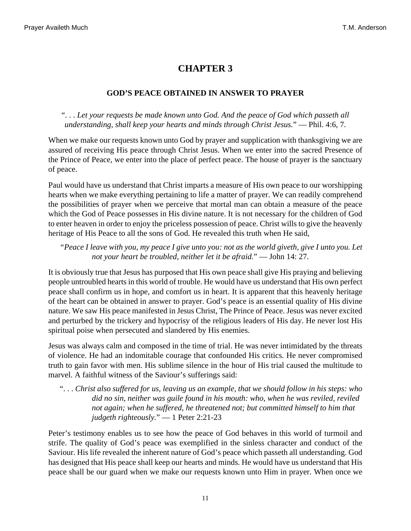#### **GOD'S PEACE OBTAINED IN ANSWER TO PRAYER**

<span id="page-10-1"></span>". . . *Let your requests be made known unto God. And the peace of God which passeth all understanding, shall keep your hearts and minds through Christ Jesus.*" — [Phil. 4:6, 7.](http://www.ccel.org/b/bible/asv/xml/asv.Phil.4.xml#Phil.4.6 Bible:Phil.4.7)

When we make our requests known unto God by prayer and supplication with thanksgiving we are assured of receiving His peace through Christ Jesus. When we enter into the sacred Presence of the Prince of Peace, we enter into the place of perfect peace. The house of prayer is the sanctuary of peace.

Paul would have us understand that Christ imparts a measure of His own peace to our worshipping hearts when we make everything pertaining to life a matter of prayer. We can readily comprehend the possibilities of prayer when we perceive that mortal man can obtain a measure of the peace which the God of Peace possesses in His divine nature. It is not necessary for the children of God to enter heaven in order to enjoy the priceless possession of peace. Christ wills to give the heavenly heritage of His Peace to all the sons of God. He revealed this truth when He said,

<span id="page-10-0"></span>*"Peace I leave with you, my peace I give unto you: not as the world giveth, give I unto you. Let not your heart be troubled, neither let it be afraid.*" — [John 14: 27](http://www.ccel.org/b/bible/asv/xml/asv.John.14.xml#John.14.27).

It is obviously true that Jesus has purposed that His own peace shall give His praying and believing people untroubled hearts in this world of trouble. He would have us understand that His own perfect peace shall confirm us in hope, and comfort us in heart. It is apparent that this heavenly heritage of the heart can be obtained in answer to prayer. God's peace is an essential quality of His divine nature. We saw His peace manifested in Jesus Christ, The Prince of Peace. Jesus was never excited and perturbed by the trickery and hypocrisy of the religious leaders of His day. He never lost His spiritual poise when persecuted and slandered by His enemies.

Jesus was always calm and composed in the time of trial. He was never intimidated by the threats of violence. He had an indomitable courage that confounded His critics. He never compromised truth to gain favor with men. His sublime silence in the hour of His trial caused the multitude to marvel. A faithful witness of the Saviour's sufferings said:

<span id="page-10-2"></span>". . . *Christ also suffered for us, leaving us an example, that we should follow in his steps: who did no sin, neither was guile found in his mouth: who, when he was reviled, reviled not again; when he suffered, he threatened not; but committed himself to him that judgeth righteously.*" — [1 Peter 2:21-23](http://www.ccel.org/b/bible/asv/xml/asv.iPet.2.xml#iPet.2.21)

Peter's testimony enables us to see how the peace of God behaves in this world of turmoil and strife. The quality of God's peace was exemplified in the sinless character and conduct of the Saviour. His life revealed the inherent nature of God's peace which passeth all understanding. God has designed that His peace shall keep our hearts and minds. He would have us understand that His peace shall be our guard when we make our requests known unto Him in prayer. When once we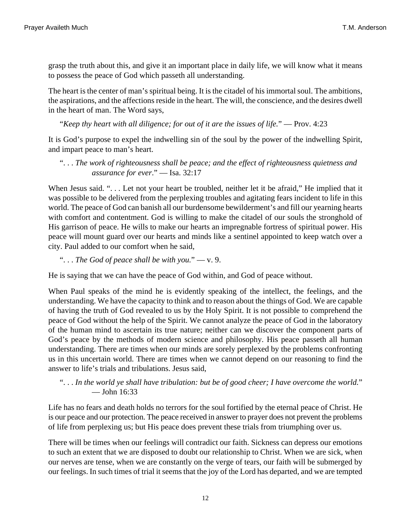grasp the truth about this, and give it an important place in daily life, we will know what it means to possess the peace of God which passeth all understanding.

The heart is the center of man's spiritual being. It is the citadel of his immortal soul. The ambitions, the aspirations, and the affections reside in the heart. The will, the conscience, and the desires dwell in the heart of man. The Word says,

<span id="page-11-0"></span>"*Keep thy heart with all diligence; for out of it are the issues of life.*" — [Prov. 4:23](http://www.ccel.org/b/bible/asv/xml/asv.Prov.4.xml#Prov.4.23)

It is God's purpose to expel the indwelling sin of the soul by the power of the indwelling Spirit, and impart peace to man's heart.

### <span id="page-11-1"></span>". . . *The work of righteousness shall be peace; and the effect of righteousness quietness and assurance for ever*." — [Isa. 32:17](http://www.ccel.org/b/bible/asv/xml/asv.Isa.32.xml#Isa.32.17)

When Jesus said. "... Let not your heart be troubled, neither let it be afraid," He implied that it was possible to be delivered from the perplexing troubles and agitating fears incident to life in this world. The peace of God can banish all our burdensome bewilderment's and fill our yearning hearts with comfort and contentment. God is willing to make the citadel of our souls the stronghold of His garrison of peace. He wills to make our hearts an impregnable fortress of spiritual power. His peace will mount guard over our hearts and minds like a sentinel appointed to keep watch over a city. Paul added to our comfort when he said,

#### <span id="page-11-3"></span>". . . *The God of peace shall be with you.*" — [v. 9](http://www.ccel.org/b/bible/asv/xml/asv.Phil.4.xml#Phil.4.9).

He is saying that we can have the peace of God within, and God of peace without.

When Paul speaks of the mind he is evidently speaking of the intellect, the feelings, and the understanding. We have the capacity to think and to reason about the things of God. We are capable of having the truth of God revealed to us by the Holy Spirit. It is not possible to comprehend the peace of God without the help of the Spirit. We cannot analyze the peace of God in the laboratory of the human mind to ascertain its true nature; neither can we discover the component parts of God's peace by the methods of modern science and philosophy. His peace passeth all human understanding. There are times when our minds are sorely perplexed by the problems confronting us in this uncertain world. There are times when we cannot depend on our reasoning to find the answer to life's trials and tribulations. Jesus said,

#### <span id="page-11-2"></span>". . . *In the world ye shall have tribulation: but be of good cheer; I have overcome the world.*" — [John 16:33](http://www.ccel.org/b/bible/asv/xml/asv.John.16.xml#John.16.33)

Life has no fears and death holds no terrors for the soul fortified by the eternal peace of Christ. He is our peace and our protection. The peace received in answer to prayer does not prevent the problems of life from perplexing us; but His peace does prevent these trials from triumphing over us.

There will be times when our feelings will contradict our faith. Sickness can depress our emotions to such an extent that we are disposed to doubt our relationship to Christ. When we are sick, when our nerves are tense, when we are constantly on the verge of tears, our faith will be submerged by our feelings. In such times of trial it seems that the joy of the Lord has departed, and we are tempted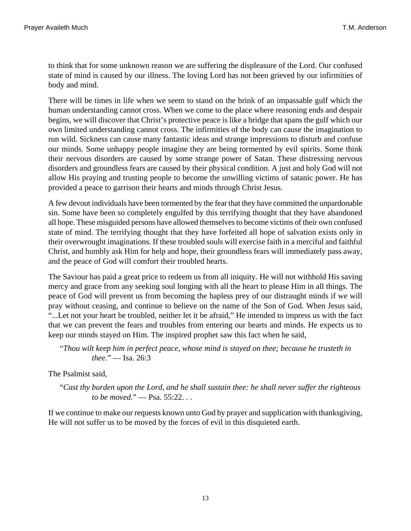to think that for some unknown reason we are suffering the displeasure of the Lord. Our confused state of mind is caused by our illness. The loving Lord has not been grieved by our infirmities of body and mind.

There will be times in life when we seem to stand on the brink of an impassable gulf which the human understanding cannot cross. When we come to the place where reasoning ends and despair begins, we will discover that Christ's protective peace is like a bridge that spans the gulf which our own limited understanding cannot cross. The infirmities of the body can cause the imagination to run wild. Sickness can cause many fantastic ideas and strange impressions to disturb and confuse our minds. Some unhappy people imagine they are being tormented by evil spirits. Some think their nervous disorders are caused by some strange power of Satan. These distressing nervous disorders and groundless fears are caused by their physical condition. A just and holy God will not allow His praying and trusting people to become the unwilling victims of satanic power. He has provided a peace to garrison their hearts and minds through Christ Jesus.

A few devout individuals have been tormented by the fear that they have committed the unpardonable sin. Some have been so completely engulfed by this terrifying thought that they have abandoned all hope. These misguided persons have allowed themselves to become victims of their own confused state of mind. The terrifying thought that they have forfeited all hope of salvation exists only in their overwrought imaginations. If these troubled souls will exercise faith in a merciful and faithful Christ, and humbly ask Him for help and hope, their groundless fears will immediately pass away, and the peace of God will comfort their troubled hearts.

The Saviour has paid a great price to redeem us from all iniquity. He will not withhold His saving mercy and grace from any seeking soul longing with all the heart to please Him in all things. The peace of God will prevent us from becoming the hapless prey of our distraught minds if we will pray without ceasing, and continue to believe on the name of the Son of God. When Jesus said, "...Let not your heart be troubled, neither let it be afraid," He intended to impress us with the fact that we can prevent the fears and troubles from entering our hearts and minds. He expects us to keep our minds stayed on Him. The inspired prophet saw this fact when he said,

```
"Thou wilt keep him in perfect peace, whose mind is stayed on thee; because he trusteth in
thee." — Isa. 26:3
```
The Psalmist said,

"*Cast thy burden upon the Lord, and he shall sustain thee: he shall never suffer the righteous to be moved.*" — [Psa. 55:22](http://www.ccel.org/b/bible/asv/xml/asv.Ps.55.xml#Ps.55.22). . .

If we continue to make our requests known unto God by prayer and supplication with thanksgiving, He will not suffer us to be moved by the forces of evil in this disquieted earth.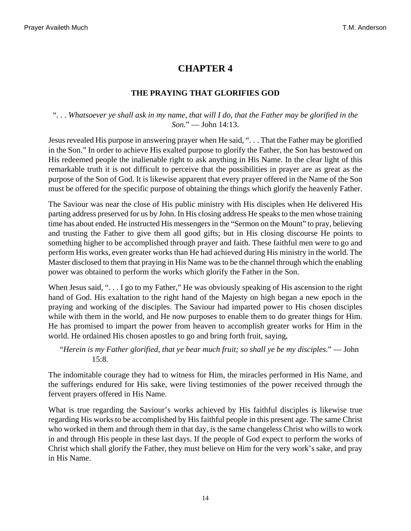### **THE PRAYING THAT GLORIFIES GOD**

#### <span id="page-13-0"></span>". . . *Whatsoever ye shall ask in my name, that will I do, that the Father may be glorified in the Son.*" — [John 14:13](http://www.ccel.org/b/bible/asv/xml/asv.John.14.xml#John.14.13).

Jesus revealed His purpose in answering prayer when He said, ". . . That the Father may be glorified in the Son." In order to achieve His exalted purpose to glorify the Father, the Son has bestowed on His redeemed people the inalienable right to ask anything in His Name. In the clear light of this remarkable truth it is not difficult to perceive that the possibilities in prayer are as great as the purpose of the Son of God. It is likewise apparent that every prayer offered in the Name of the Son must be offered for the specific purpose of obtaining the things which glorify the heavenly Father.

The Saviour was near the close of His public ministry with His disciples when He delivered His parting address preserved for us by John. In His closing address He speaks to the men whose training time has about ended. He instructed His messengers in the "Sermon on the Mount" to pray, believing and trusting the Father to give them all good gifts; but in His closing discourse He points to something higher to be accomplished through prayer and faith. These faithful men were to go and perform His works, even greater works than He had achieved during His ministry in the world. The Master disclosed to them that praying in His Name was to be the channel through which the enabling power was obtained to perform the works which glorify the Father in the Son.

When Jesus said, "... I go to my Father," He was obviously speaking of His ascension to the right hand of God. His exaltation to the right hand of the Majesty on high began a new epoch in the praying and working of the disciples. The Saviour had imparted power to His chosen disciples while with them in the world, and He now purposes to enable them to do greater things for Him. He has promised to impart the power from heaven to accomplish greater works for Him in the world. He ordained His chosen apostles to go and bring forth fruit, saying,

<span id="page-13-1"></span>"*Herein is my Father glorified, that ye bear much fruit; so shall ye be my disciples*." — [John](http://www.ccel.org/b/bible/asv/xml/asv.John.15.xml#John.15.8) [15:8](http://www.ccel.org/b/bible/asv/xml/asv.John.15.xml#John.15.8).

The indomitable courage they had to witness for Him, the miracles performed in His Name, and the sufferings endured for His sake, were living testimonies of the power received through the fervent prayers offered in His Name.

What is true regarding the Saviour's works achieved by His faithful disciples is likewise true regarding His works to be accomplished by His faithful people in this present age. The same Christ who worked in them and through them in that day, is the same changeless Christ who wills to work in and through His people in these last days. If the people of God expect to perform the works of Christ which shall glorify the Father, they must believe on Him for the very work's sake, and pray in His Name.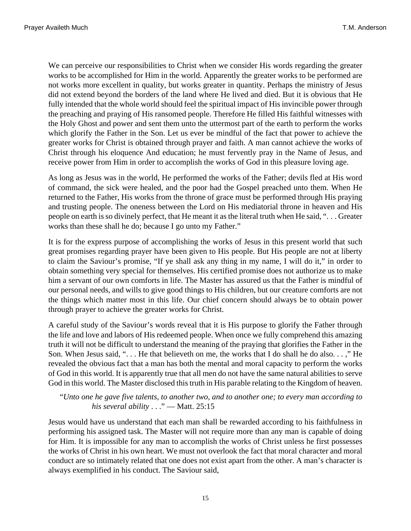We can perceive our responsibilities to Christ when we consider His words regarding the greater works to be accomplished for Him in the world. Apparently the greater works to be performed are not works more excellent in quality, but works greater in quantity. Perhaps the ministry of Jesus did not extend beyond the borders of the land where He lived and died. But it is obvious that He fully intended that the whole world should feel the spiritual impact of His invincible power through the preaching and praying of His ransomed people. Therefore He filled His faithful witnesses with the Holy Ghost and power and sent them unto the uttermost part of the earth to perform the works which glorify the Father in the Son. Let us ever be mindful of the fact that power to achieve the greater works for Christ is obtained through prayer and faith. A man cannot achieve the works of Christ through his eloquence And education; he must fervently pray in the Name of Jesus, and receive power from Him in order to accomplish the works of God in this pleasure loving age.

As long as Jesus was in the world, He performed the works of the Father; devils fled at His word of command, the sick were healed, and the poor had the Gospel preached unto them. When He returned to the Father, His works from the throne of grace must be performed through His praying and trusting people. The oneness between the Lord on His mediatorial throne in heaven and His people on earth is so divinely perfect, that He meant it as the literal truth when He said, ". . . Greater works than these shall he do; because I go unto my Father."

It is for the express purpose of accomplishing the works of Jesus in this present world that such great promises regarding prayer have been given to His people. But His people are not at liberty to claim the Saviour's promise, "If ye shall ask any thing in my name, I will do it," in order to obtain something very special for themselves. His certified promise does not authorize us to make him a servant of our own comforts in life. The Master has assured us that the Father is mindful of our personal needs, and wills to give good things to His children, but our creature comforts are not the things which matter most in this life. Our chief concern should always be to obtain power through prayer to achieve the greater works for Christ.

A careful study of the Saviour's words reveal that it is His purpose to glorify the Father through the life and love and labors of His redeemed people. When once we fully comprehend this amazing truth it will not be difficult to understand the meaning of the praying that glorifies the Father in the Son. When Jesus said, ". . . He that believeth on me, the works that I do shall he do also. . . ," He revealed the obvious fact that a man has both the mental and moral capacity to perform the works of God in this world. It is apparently true that all men do not have the same natural abilities to serve God in this world. The Master disclosed this truth in His parable relating to the Kingdom of heaven.

<span id="page-14-0"></span>"*Unto one he gave five talents, to another two, and to another one; to every man according to his several ability* . . ." — [Matt. 25:15](http://www.ccel.org/b/bible/asv/xml/asv.Matt.25.xml#Matt.25.15)

Jesus would have us understand that each man shall be rewarded according to his faithfulness in performing his assigned task. The Master will not require more than any man is capable of doing for Him. It is impossible for any man to accomplish the works of Christ unless he first possesses the works of Christ in his own heart. We must not overlook the fact that moral character and moral conduct are so intimately related that one does not exist apart from the other. A man's character is always exemplified in his conduct. The Saviour said,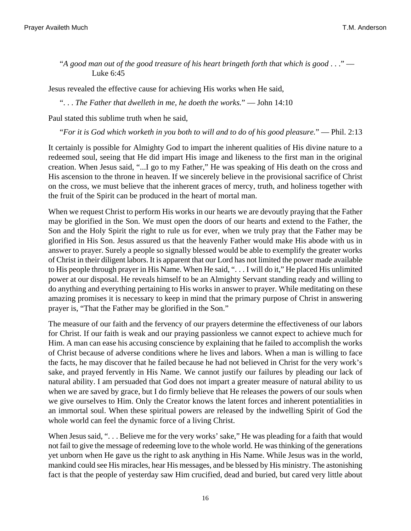<span id="page-15-0"></span>"*A good man out of the good treasure of his heart bringeth forth that which is good* . . ." — [Luke 6:45](http://www.ccel.org/b/bible/asv/xml/asv.Luke.6.xml#Luke.6.45)

Jesus revealed the effective cause for achieving His works when He said,

<span id="page-15-1"></span>". . . *The Father that dwelleth in me, he doeth the works.*" — [John 14:10](http://www.ccel.org/b/bible/asv/xml/asv.John.14.xml#John.14.10)

Paul stated this sublime truth when he said,

<span id="page-15-2"></span>"*For it is God which worketh in you both to will and to do of his good pleasure.*" — [Phil. 2:13](http://www.ccel.org/b/bible/asv/xml/asv.Phil.2.xml#Phil.2.13)

It certainly is possible for Almighty God to impart the inherent qualities of His divine nature to a redeemed soul, seeing that He did impart His image and likeness to the first man in the original creation. When Jesus said, "...I go to my Father," He was speaking of His death on the cross and His ascension to the throne in heaven. If we sincerely believe in the provisional sacrifice of Christ on the cross, we must believe that the inherent graces of mercy, truth, and holiness together with the fruit of the Spirit can be produced in the heart of mortal man.

When we request Christ to perform His works in our hearts we are devoutly praying that the Father may be glorified in the Son. We must open the doors of our hearts and extend to the Father, the Son and the Holy Spirit the right to rule us for ever, when we truly pray that the Father may be glorified in His Son. Jesus assured us that the heavenly Father would make His abode with us in answer to prayer. Surely a people so signally blessed would be able to exemplify the greater works of Christ in their diligent labors. It is apparent that our Lord has not limited the power made available to His people through prayer in His Name. When He said, ". . . I will do it," He placed His unlimited power at our disposal. He reveals himself to be an Almighty Servant standing ready and willing to do anything and everything pertaining to His works in answer to prayer. While meditating on these amazing promises it is necessary to keep in mind that the primary purpose of Christ in answering prayer is, "That the Father may be glorified in the Son."

The measure of our faith and the fervency of our prayers determine the effectiveness of our labors for Christ. If our faith is weak and our praying passionless we cannot expect to achieve much for Him. A man can ease his accusing conscience by explaining that he failed to accomplish the works of Christ because of adverse conditions where he lives and labors. When a man is willing to face the facts, he may discover that he failed because he had not believed in Christ for the very work's sake, and prayed fervently in His Name. We cannot justify our failures by pleading our lack of natural ability. I am persuaded that God does not impart a greater measure of natural ability to us when we are saved by grace, but I do firmly believe that He releases the powers of our souls when we give ourselves to Him. Only the Creator knows the latent forces and inherent potentialities in an immortal soul. When these spiritual powers are released by the indwelling Spirit of God the whole world can feel the dynamic force of a living Christ.

When Jesus said, "... Believe me for the very works' sake," He was pleading for a faith that would not fail to give the message of redeeming love to the whole world. He was thinking of the generations yet unborn when He gave us the right to ask anything in His Name. While Jesus was in the world, mankind could see His miracles, hear His messages, and be blessed by His ministry. The astonishing fact is that the people of yesterday saw Him crucified, dead and buried, but cared very little about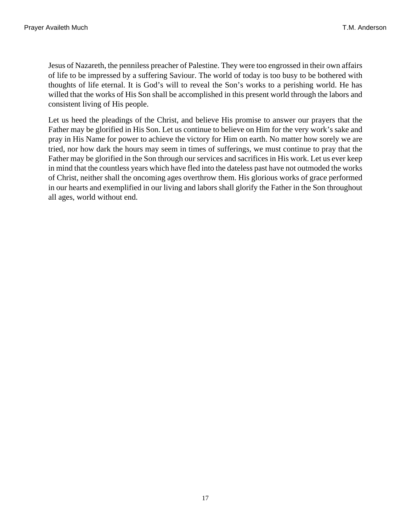Jesus of Nazareth, the penniless preacher of Palestine. They were too engrossed in their own affairs of life to be impressed by a suffering Saviour. The world of today is too busy to be bothered with thoughts of life eternal. It is God's will to reveal the Son's works to a perishing world. He has willed that the works of His Son shall be accomplished in this present world through the labors and consistent living of His people.

Let us heed the pleadings of the Christ, and believe His promise to answer our prayers that the Father may be glorified in His Son. Let us continue to believe on Him for the very work's sake and pray in His Name for power to achieve the victory for Him on earth. No matter how sorely we are tried, nor how dark the hours may seem in times of sufferings, we must continue to pray that the Father may be glorified in the Son through our services and sacrifices in His work. Let us ever keep in mind that the countless years which have fled into the dateless past have not outmoded the works of Christ, neither shall the oncoming ages overthrow them. His glorious works of grace performed in our hearts and exemplified in our living and labors shall glorify the Father in the Son throughout all ages, world without end.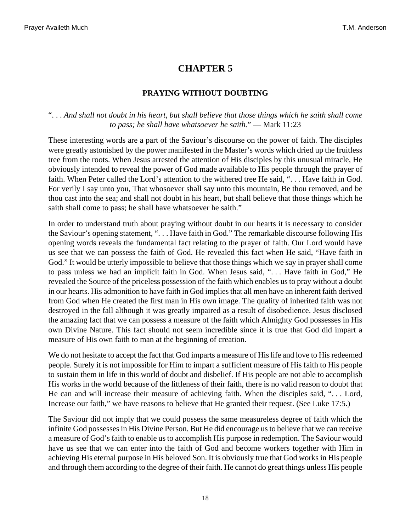#### **PRAYING WITHOUT DOUBTING**

#### <span id="page-17-0"></span>". . . *And shall not doubt in his heart, but shall believe that those things which he saith shall come to pass; he shall have whatsoever he saith.*" — [Mark 11:23](http://www.ccel.org/b/bible/asv/xml/asv.Mark.11.xml#Mark.11.23)

These interesting words are a part of the Saviour's discourse on the power of faith. The disciples were greatly astonished by the power manifested in the Master's words which dried up the fruitless tree from the roots. When Jesus arrested the attention of His disciples by this unusual miracle, He obviously intended to reveal the power of God made available to His people through the prayer of faith. When Peter called the Lord's attention to the withered tree He said, ". . . Have faith in God. For verily I say unto you, That whosoever shall say unto this mountain, Be thou removed, and be thou cast into the sea; and shall not doubt in his heart, but shall believe that those things which he saith shall come to pass; he shall have whatsoever he saith."

In order to understand truth about praying without doubt in our hearts it is necessary to consider the Saviour's opening statement, ". . . Have faith in God." The remarkable discourse following His opening words reveals the fundamental fact relating to the prayer of faith. Our Lord would have us see that we can possess the faith of God. He revealed this fact when He said, "Have faith in God." It would be utterly impossible to believe that those things which we say in prayer shall come to pass unless we had an implicit faith in God. When Jesus said, ". . . Have faith in God," He revealed the Source of the priceless possession of the faith which enables us to pray without a doubt in our hearts. His admonition to have faith in God implies that all men have an inherent faith derived from God when He created the first man in His own image. The quality of inherited faith was not destroyed in the fall although it was greatly impaired as a result of disobedience. Jesus disclosed the amazing fact that we can possess a measure of the faith which Almighty God possesses in His own Divine Nature. This fact should not seem incredible since it is true that God did impart a measure of His own faith to man at the beginning of creation.

<span id="page-17-1"></span>We do not hesitate to accept the fact that God imparts a measure of His life and love to His redeemed people. Surely it is not impossible for Him to impart a sufficient measure of His faith to His people to sustain them in life in this world of doubt and disbelief. If His people are not able to accomplish His works in the world because of the littleness of their faith, there is no valid reason to doubt that He can and will increase their measure of achieving faith. When the disciples said, "... Lord, Increase our faith," we have reasons to believe that He granted their request. (See [Luke 17:5.](http://www.ccel.org/b/bible/asv/xml/asv.Luke.17.xml#Luke.17.5))

The Saviour did not imply that we could possess the same measureless degree of faith which the infinite God possesses in His Divine Person. But He did encourage us to believe that we can receive a measure of God's faith to enable us to accomplish His purpose in redemption. The Saviour would have us see that we can enter into the faith of God and become workers together with Him in achieving His eternal purpose in His beloved Son. It is obviously true that God works in His people and through them according to the degree of their faith. He cannot do great things unless His people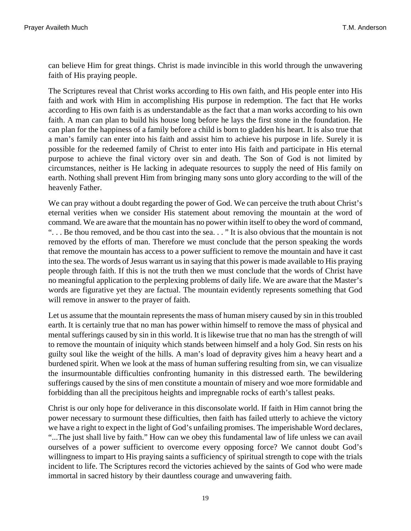can believe Him for great things. Christ is made invincible in this world through the unwavering faith of His praying people.

The Scriptures reveal that Christ works according to His own faith, and His people enter into His faith and work with Him in accomplishing His purpose in redemption. The fact that He works according to His own faith is as understandable as the fact that a man works according to his own faith. A man can plan to build his house long before he lays the first stone in the foundation. He can plan for the happiness of a family before a child is born to gladden his heart. It is also true that a man's family can enter into his faith and assist him to achieve his purpose in life. Surely it is possible for the redeemed family of Christ to enter into His faith and participate in His eternal purpose to achieve the final victory over sin and death. The Son of God is not limited by circumstances, neither is He lacking in adequate resources to supply the need of His family on earth. Nothing shall prevent Him from bringing many sons unto glory according to the will of the heavenly Father.

We can pray without a doubt regarding the power of God. We can perceive the truth about Christ's eternal verities when we consider His statement about removing the mountain at the word of command. We are aware that the mountain has no power within itself to obey the word of command, ". . . Be thou removed, and be thou cast into the sea. . . " It is also obvious that the mountain is not removed by the efforts of man. Therefore we must conclude that the person speaking the words that remove the mountain has access to a power sufficient to remove the mountain and have it cast into the sea. The words of Jesus warrant us in saying that this power is made available to His praying people through faith. If this is not the truth then we must conclude that the words of Christ have no meaningful application to the perplexing problems of daily life. We are aware that the Master's words are figurative yet they are factual. The mountain evidently represents something that God will remove in answer to the prayer of faith.

Let us assume that the mountain represents the mass of human misery caused by sin in this troubled earth. It is certainly true that no man has power within himself to remove the mass of physical and mental sufferings caused by sin in this world. It is likewise true that no man has the strength of will to remove the mountain of iniquity which stands between himself and a holy God. Sin rests on his guilty soul like the weight of the hills. A man's load of depravity gives him a heavy heart and a burdened spirit. When we look at the mass of human suffering resulting from sin, we can visualize the insurmountable difficulties confronting humanity in this distressed earth. The bewildering sufferings caused by the sins of men constitute a mountain of misery and woe more formidable and forbidding than all the precipitous heights and impregnable rocks of earth's tallest peaks.

Christ is our only hope for deliverance in this disconsolate world. If faith in Him cannot bring the power necessary to surmount these difficulties, then faith has failed utterly to achieve the victory we have a right to expect in the light of God's unfailing promises. The imperishable Word declares, "...The just shall live by faith." How can we obey this fundamental law of life unless we can avail ourselves of a power sufficient to overcome every opposing force? We cannot doubt God's willingness to impart to His praying saints a sufficiency of spiritual strength to cope with the trials incident to life. The Scriptures record the victories achieved by the saints of God who were made immortal in sacred history by their dauntless courage and unwavering faith.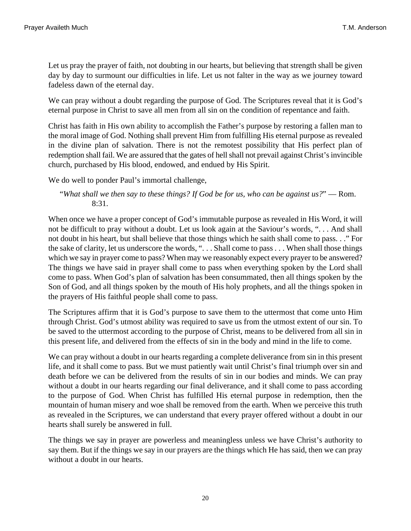Let us pray the prayer of faith, not doubting in our hearts, but believing that strength shall be given day by day to surmount our difficulties in life. Let us not falter in the way as we journey toward fadeless dawn of the eternal day.

We can pray without a doubt regarding the purpose of God. The Scriptures reveal that it is God's eternal purpose in Christ to save all men from all sin on the condition of repentance and faith.

Christ has faith in His own ability to accomplish the Father's purpose by restoring a fallen man to the moral image of God. Nothing shall prevent Him from fulfilling His eternal purpose as revealed in the divine plan of salvation. There is not the remotest possibility that His perfect plan of redemption shall fail. We are assured that the gates of hell shall not prevail against Christ's invincible church, purchased by His blood, endowed, and endued by His Spirit.

We do well to ponder Paul's immortal challenge,

<span id="page-19-0"></span>"*What shall we then say to these things? If God be for us, who can be against us?*" — [Rom.](http://www.ccel.org/b/bible/asv/xml/asv.Rom.8.xml#Rom.8.31) [8:31](http://www.ccel.org/b/bible/asv/xml/asv.Rom.8.xml#Rom.8.31).

When once we have a proper concept of God's immutable purpose as revealed in His Word, it will not be difficult to pray without a doubt. Let us look again at the Saviour's words, ". . . And shall not doubt in his heart, but shall believe that those things which he saith shall come to pass. . ." For the sake of clarity, let us underscore the words, ". . . Shall come to pass . . . When shall those things which we say in prayer come to pass? When may we reasonably expect every prayer to be answered? The things we have said in prayer shall come to pass when everything spoken by the Lord shall come to pass. When God's plan of salvation has been consummated, then all things spoken by the Son of God, and all things spoken by the mouth of His holy prophets, and all the things spoken in the prayers of His faithful people shall come to pass.

The Scriptures affirm that it is God's purpose to save them to the uttermost that come unto Him through Christ. God's utmost ability was required to save us from the utmost extent of our sin. To be saved to the uttermost according to the purpose of Christ, means to be delivered from all sin in this present life, and delivered from the effects of sin in the body and mind in the life to come.

We can pray without a doubt in our hearts regarding a complete deliverance from sin in this present life, and it shall come to pass. But we must patiently wait until Christ's final triumph over sin and death before we can be delivered from the results of sin in our bodies and minds. We can pray without a doubt in our hearts regarding our final deliverance, and it shall come to pass according to the purpose of God. When Christ has fulfilled His eternal purpose in redemption, then the mountain of human misery and woe shall be removed from the earth. When we perceive this truth as revealed in the Scriptures, we can understand that every prayer offered without a doubt in our hearts shall surely be answered in full.

The things we say in prayer are powerless and meaningless unless we have Christ's authority to say them. But if the things we say in our prayers are the things which He has said, then we can pray without a doubt in our hearts.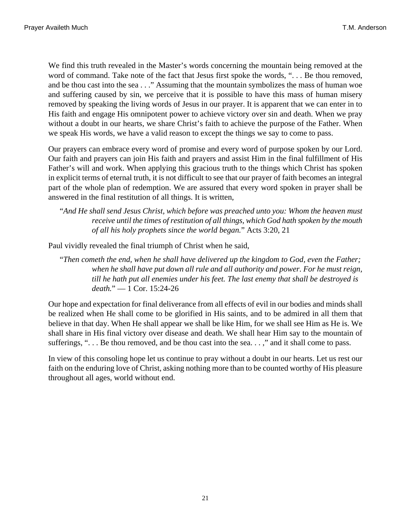We find this truth revealed in the Master's words concerning the mountain being removed at the word of command. Take note of the fact that Jesus first spoke the words, ". . . Be thou removed, and be thou cast into the sea . . ." Assuming that the mountain symbolizes the mass of human woe and suffering caused by sin, we perceive that it is possible to have this mass of human misery removed by speaking the living words of Jesus in our prayer. It is apparent that we can enter in to His faith and engage His omnipotent power to achieve victory over sin and death. When we pray without a doubt in our hearts, we share Christ's faith to achieve the purpose of the Father. When we speak His words, we have a valid reason to except the things we say to come to pass.

Our prayers can embrace every word of promise and every word of purpose spoken by our Lord. Our faith and prayers can join His faith and prayers and assist Him in the final fulfillment of His Father's will and work. When applying this gracious truth to the things which Christ has spoken in explicit terms of eternal truth, it is not difficult to see that our prayer of faith becomes an integral part of the whole plan of redemption. We are assured that every word spoken in prayer shall be answered in the final restitution of all things. It is written,

<span id="page-20-0"></span>"*And He shall send Jesus Christ, which before was preached unto you: Whom the heaven must receive until the times of restitution of all things, which God hath spoken by the mouth of all his holy prophets since the world began.*" [Acts 3:20, 21](http://www.ccel.org/b/bible/asv/xml/asv.Acts.3.xml#Acts.3.20 Bible:Acts.3.21)

Paul vividly revealed the final triumph of Christ when he said,

<span id="page-20-1"></span>"*Then cometh the end, when he shall have delivered up the kingdom to God, even the Father; when he shall have put down all rule and all authority and power. For he must reign, till he hath put all enemies under his feet. The last enemy that shall be destroyed is death.*" — [1 Cor. 15:24-26](http://www.ccel.org/b/bible/asv/xml/asv.iCor.15.xml#iCor.15.24)

Our hope and expectation for final deliverance from all effects of evil in our bodies and minds shall be realized when He shall come to be glorified in His saints, and to be admired in all them that believe in that day. When He shall appear we shall be like Him, for we shall see Him as He is. We shall share in His final victory over disease and death. We shall hear Him say to the mountain of sufferings, "... Be thou removed, and be thou cast into the sea...," and it shall come to pass.

In view of this consoling hope let us continue to pray without a doubt in our hearts. Let us rest our faith on the enduring love of Christ, asking nothing more than to be counted worthy of His pleasure throughout all ages, world without end.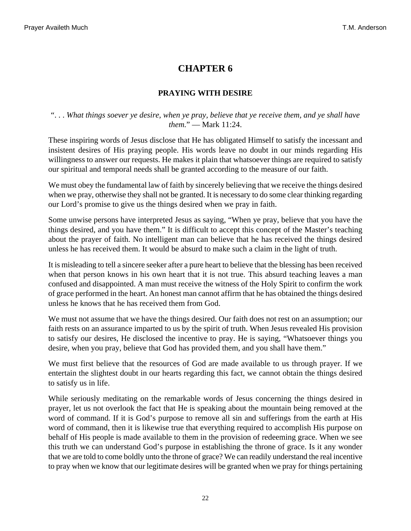# **PRAYING WITH DESIRE**

#### <span id="page-21-0"></span>". . . *What things soever ye desire, when ye pray, believe that ye receive them, and ye shall have them.*" — [Mark 11:24.](http://www.ccel.org/b/bible/asv/xml/asv.Mark.11.xml#Mark.11.24)

These inspiring words of Jesus disclose that He has obligated Himself to satisfy the incessant and insistent desires of His praying people. His words leave no doubt in our minds regarding His willingness to answer our requests. He makes it plain that whatsoever things are required to satisfy our spiritual and temporal needs shall be granted according to the measure of our faith.

We must obey the fundamental law of faith by sincerely believing that we receive the things desired when we pray, otherwise they shall not be granted. It is necessary to do some clear thinking regarding our Lord's promise to give us the things desired when we pray in faith.

Some unwise persons have interpreted Jesus as saying, "When ye pray, believe that you have the things desired, and you have them." It is difficult to accept this concept of the Master's teaching about the prayer of faith. No intelligent man can believe that he has received the things desired unless he has received them. It would be absurd to make such a claim in the light of truth.

It is misleading to tell a sincere seeker after a pure heart to believe that the blessing has been received when that person knows in his own heart that it is not true. This absurd teaching leaves a man confused and disappointed. A man must receive the witness of the Holy Spirit to confirm the work of grace performed in the heart. An honest man cannot affirm that he has obtained the things desired unless he knows that he has received them from God.

We must not assume that we have the things desired. Our faith does not rest on an assumption; our faith rests on an assurance imparted to us by the spirit of truth. When Jesus revealed His provision to satisfy our desires, He disclosed the incentive to pray. He is saying, "Whatsoever things you desire, when you pray, believe that God has provided them, and you shall have them."

We must first believe that the resources of God are made available to us through prayer. If we entertain the slightest doubt in our hearts regarding this fact, we cannot obtain the things desired to satisfy us in life.

While seriously meditating on the remarkable words of Jesus concerning the things desired in prayer, let us not overlook the fact that He is speaking about the mountain being removed at the word of command. If it is God's purpose to remove all sin and sufferings from the earth at His word of command, then it is likewise true that everything required to accomplish His purpose on behalf of His people is made available to them in the provision of redeeming grace. When we see this truth we can understand God's purpose in establishing the throne of grace. Is it any wonder that we are told to come boldly unto the throne of grace? We can readily understand the real incentive to pray when we know that our legitimate desires will be granted when we pray for things pertaining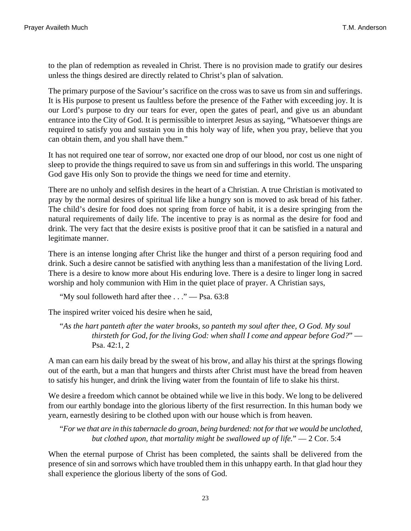to the plan of redemption as revealed in Christ. There is no provision made to gratify our desires unless the things desired are directly related to Christ's plan of salvation.

The primary purpose of the Saviour's sacrifice on the cross was to save us from sin and sufferings. It is His purpose to present us faultless before the presence of the Father with exceeding joy. It is our Lord's purpose to dry our tears for ever, open the gates of pearl, and give us an abundant entrance into the City of God. It is permissible to interpret Jesus as saying, "Whatsoever things are required to satisfy you and sustain you in this holy way of life, when you pray, believe that you can obtain them, and you shall have them."

It has not required one tear of sorrow, nor exacted one drop of our blood, nor cost us one night of sleep to provide the things required to save us from sin and sufferings in this world. The unsparing God gave His only Son to provide the things we need for time and eternity.

There are no unholy and selfish desires in the heart of a Christian. A true Christian is motivated to pray by the normal desires of spiritual life like a hungry son is moved to ask bread of his father. The child's desire for food does not spring from force of habit, it is a desire springing from the natural requirements of daily life. The incentive to pray is as normal as the desire for food and drink. The very fact that the desire exists is positive proof that it can be satisfied in a natural and legitimate manner.

There is an intense longing after Christ like the hunger and thirst of a person requiring food and drink. Such a desire cannot be satisfied with anything less than a manifestation of the living Lord. There is a desire to know more about His enduring love. There is a desire to linger long in sacred worship and holy communion with Him in the quiet place of prayer. A Christian says,

<span id="page-22-1"></span><span id="page-22-0"></span>"My soul followeth hard after thee  $\dots$ " — [Psa. 63:8](http://www.ccel.org/b/bible/asv/xml/asv.Ps.63.xml#Ps.63.8)

The inspired writer voiced his desire when he said,

"*As the hart panteth after the water brooks, so panteth my soul after thee, O God. My soul thirsteth for God, for the living God: when shall I come and appear before God?*" — [Psa. 42:1, 2](http://www.ccel.org/b/bible/asv/xml/asv.Ps.42.xml#Ps.42.1 Bible:Ps.42.2)

A man can earn his daily bread by the sweat of his brow, and allay his thirst at the springs flowing out of the earth, but a man that hungers and thirsts after Christ must have the bread from heaven to satisfy his hunger, and drink the living water from the fountain of life to slake his thirst.

<span id="page-22-2"></span>We desire a freedom which cannot be obtained while we live in this body. We long to be delivered from our earthly bondage into the glorious liberty of the first resurrection. In this human body we yearn, earnestly desiring to be clothed upon with our house which is from heaven.

"*For we that are in this tabernacle do groan, being burdened: not for that we would be unclothed, but clothed upon, that mortality might be swallowed up of life.*" — [2 Cor. 5:4](http://www.ccel.org/b/bible/asv/xml/asv.iiCor.5.xml#iiCor.5.4)

When the eternal purpose of Christ has been completed, the saints shall be delivered from the presence of sin and sorrows which have troubled them in this unhappy earth. In that glad hour they shall experience the glorious liberty of the sons of God.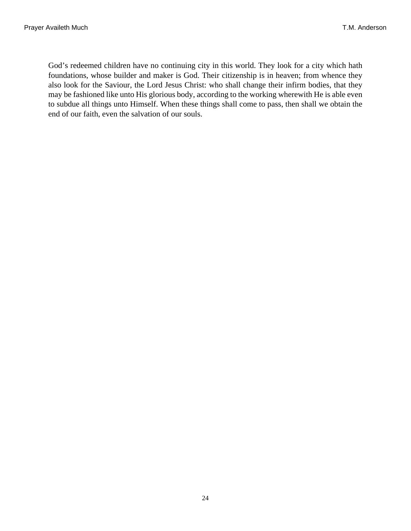God's redeemed children have no continuing city in this world. They look for a city which hath foundations, whose builder and maker is God. Their citizenship is in heaven; from whence they also look for the Saviour, the Lord Jesus Christ: who shall change their infirm bodies, that they may be fashioned like unto His glorious body, according to the working wherewith He is able even to subdue all things unto Himself. When these things shall come to pass, then shall we obtain the end of our faith, even the salvation of our souls.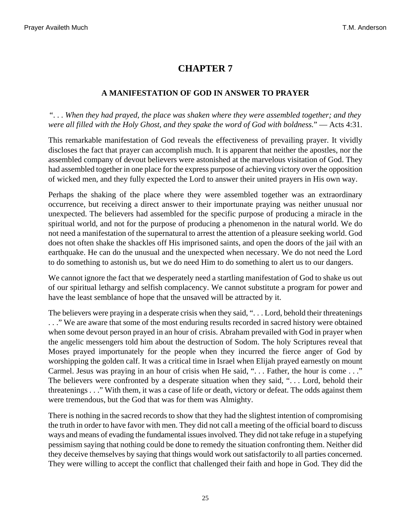### **A MANIFESTATION OF GOD IN ANSWER TO PRAYER**

<span id="page-24-0"></span>". . . *When they had prayed, the place was shaken where they were assembled together; and they were all filled with the Holy Ghost, and they spake the word of God with boldness.*" — [Acts 4:31](http://www.ccel.org/b/bible/asv/xml/asv.Acts.4.xml#Acts.4.31).

This remarkable manifestation of God reveals the effectiveness of prevailing prayer. It vividly discloses the fact that prayer can accomplish much. It is apparent that neither the apostles, nor the assembled company of devout believers were astonished at the marvelous visitation of God. They had assembled together in one place for the express purpose of achieving victory over the opposition of wicked men, and they fully expected the Lord to answer their united prayers in His own way.

Perhaps the shaking of the place where they were assembled together was an extraordinary occurrence, but receiving a direct answer to their importunate praying was neither unusual nor unexpected. The believers had assembled for the specific purpose of producing a miracle in the spiritual world, and not for the purpose of producing a phenomenon in the natural world. We do not need a manifestation of the supernatural to arrest the attention of a pleasure seeking world. God does not often shake the shackles off His imprisoned saints, and open the doors of the jail with an earthquake. He can do the unusual and the unexpected when necessary. We do not need the Lord to do something to astonish us, but we do need Him to do something to alert us to our dangers.

We cannot ignore the fact that we desperately need a startling manifestation of God to shake us out of our spiritual lethargy and selfish complacency. We cannot substitute a program for power and have the least semblance of hope that the unsaved will be attracted by it.

The believers were praying in a desperate crisis when they said, ". . . Lord, behold their threatenings . . ." We are aware that some of the most enduring results recorded in sacred history were obtained when some devout person prayed in an hour of crisis. Abraham prevailed with God in prayer when the angelic messengers told him about the destruction of Sodom. The holy Scriptures reveal that Moses prayed importunately for the people when they incurred the fierce anger of God by worshipping the golden calf. It was a critical time in Israel when Elijah prayed earnestly on mount Carmel. Jesus was praying in an hour of crisis when He said, "... Father, the hour is come ..." The believers were confronted by a desperate situation when they said, ". . . Lord, behold their threatenings . . ." With them, it was a case of life or death, victory or defeat. The odds against them were tremendous, but the God that was for them was Almighty.

There is nothing in the sacred records to show that they had the slightest intention of compromising the truth in order to have favor with men. They did not call a meeting of the official board to discuss ways and means of evading the fundamental issues involved. They did not take refuge in a stupefying pessimism saying that nothing could be done to remedy the situation confronting them. Neither did they deceive themselves by saying that things would work out satisfactorily to all parties concerned. They were willing to accept the conflict that challenged their faith and hope in God. They did the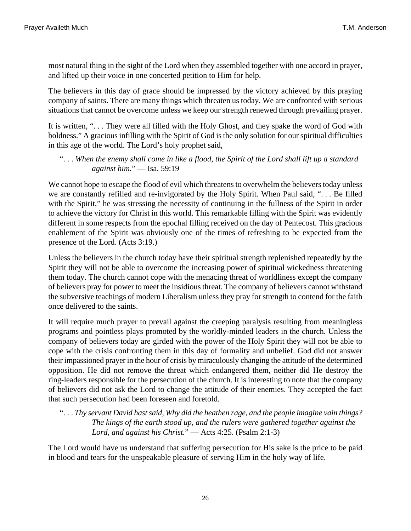most natural thing in the sight of the Lord when they assembled together with one accord in prayer, and lifted up their voice in one concerted petition to Him for help.

The believers in this day of grace should be impressed by the victory achieved by this praying company of saints. There are many things which threaten us today. We are confronted with serious situations that cannot be overcome unless we keep our strength renewed through prevailing prayer.

It is written, ". . . They were all filled with the Holy Ghost, and they spake the word of God with boldness." A gracious infilling with the Spirit of God is the only solution for our spiritual difficulties in this age of the world. The Lord's holy prophet said,

# <span id="page-25-1"></span>". . . *When the enemy shall come in like a flood, the Spirit of the Lord shall lift up a standard against him.*" — [Isa. 59:19](http://www.ccel.org/b/bible/asv/xml/asv.Isa.59.xml#Isa.59.19)

<span id="page-25-2"></span>We cannot hope to escape the flood of evil which threatens to overwhelm the believers today unless we are constantly refilled and re-invigorated by the Holy Spirit. When Paul said, ". . . Be filled with the Spirit," he was stressing the necessity of continuing in the fullness of the Spirit in order to achieve the victory for Christ in this world. This remarkable filling with the Spirit was evidently different in some respects from the epochal filling received on the day of Pentecost. This gracious enablement of the Spirit was obviously one of the times of refreshing to be expected from the presence of the Lord. ([Acts 3:19](http://www.ccel.org/b/bible/asv/xml/asv.Acts.3.xml#Acts.3.19).)

Unless the believers in the church today have their spiritual strength replenished repeatedly by the Spirit they will not be able to overcome the increasing power of spiritual wickedness threatening them today. The church cannot cope with the menacing threat of worldliness except the company of believers pray for power to meet the insidious threat. The company of believers cannot withstand the subversive teachings of modern Liberalism unless they pray for strength to contend for the faith once delivered to the saints.

It will require much prayer to prevail against the creeping paralysis resulting from meaningless programs and pointless plays promoted by the worldly-minded leaders in the church. Unless the company of believers today are girded with the power of the Holy Spirit they will not be able to cope with the crisis confronting them in this day of formality and unbelief. God did not answer their impassioned prayer in the hour of crisis by miraculously changing the attitude of the determined opposition. He did not remove the threat which endangered them, neither did He destroy the ring-leaders responsible for the persecution of the church. It is interesting to note that the company of believers did not ask the Lord to change the attitude of their enemies. They accepted the fact that such persecution had been foreseen and foretold.

<span id="page-25-0"></span>". . . *Thy servant David hast said, Why did the heathen rage, and the people imagine vain things? The kings of the earth stood up, and the rulers were gathered together against the Lord, and against his Christ.*" — [Acts 4:25](http://www.ccel.org/b/bible/asv/xml/asv.Acts.4.xml#Acts.4.25). [\(Psalm 2:1-3](http://www.ccel.org/b/bible/asv/xml/asv.Ps.2.xml#Ps.2.1))

The Lord would have us understand that suffering persecution for His sake is the price to be paid in blood and tears for the unspeakable pleasure of serving Him in the holy way of life.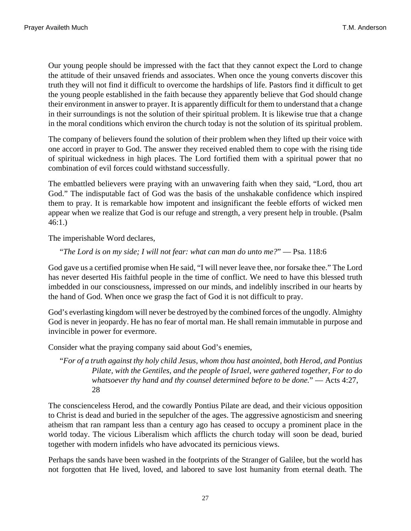Our young people should be impressed with the fact that they cannot expect the Lord to change the attitude of their unsaved friends and associates. When once the young converts discover this truth they will not find it difficult to overcome the hardships of life. Pastors find it difficult to get the young people established in the faith because they apparently believe that God should change their environment in answer to prayer. It is apparently difficult for them to understand that a change in their surroundings is not the solution of their spiritual problem. It is likewise true that a change in the moral conditions which environ the church today is not the solution of its spiritual problem.

The company of believers found the solution of their problem when they lifted up their voice with one accord in prayer to God. The answer they received enabled them to cope with the rising tide of spiritual wickedness in high places. The Lord fortified them with a spiritual power that no combination of evil forces could withstand successfully.

<span id="page-26-0"></span>The embattled believers were praying with an unwavering faith when they said, "Lord, thou art God." The indisputable fact of God was the basis of the unshakable confidence which inspired them to pray. It is remarkable how impotent and insignificant the feeble efforts of wicked men appear when we realize that God is our refuge and strength, a very present help in trouble. ([Psalm](http://www.ccel.org/b/bible/asv/xml/asv.Ps.46.xml#Ps.46.1) [46:1](http://www.ccel.org/b/bible/asv/xml/asv.Ps.46.xml#Ps.46.1).)

The imperishable Word declares,

#### <span id="page-26-1"></span>"*The Lord is on my side; I will not fear: what can man do unto me?*" — [Psa. 118:6](http://www.ccel.org/b/bible/asv/xml/asv.Ps.118.xml#Ps.118.6)

God gave us a certified promise when He said, "I will never leave thee, nor forsake thee." The Lord has never deserted His faithful people in the time of conflict. We need to have this blessed truth imbedded in our consciousness, impressed on our minds, and indelibly inscribed in our hearts by the hand of God. When once we grasp the fact of God it is not difficult to pray.

God's everlasting kingdom will never be destroyed by the combined forces of the ungodly. Almighty God is never in jeopardy. He has no fear of mortal man. He shall remain immutable in purpose and invincible in power for evermore.

Consider what the praying company said about God's enemies,

<span id="page-26-2"></span>"*For of a truth against thy holy child Jesus, whom thou hast anointed, both Herod, and Pontius Pilate, with the Gentiles, and the people of Israel, were gathered together, For to do whatsoever thy hand and thy counsel determined before to be done.*" — [Acts 4:27,](http://www.ccel.org/b/bible/asv/xml/asv.Acts.4.xml#Acts.4.27 Bible:Acts.4.28) [28](http://www.ccel.org/b/bible/asv/xml/asv.Acts.4.xml#Acts.4.27 Bible:Acts.4.28)

The conscienceless Herod, and the cowardly Pontius Pilate are dead, and their vicious opposition to Christ is dead and buried in the sepulcher of the ages. The aggressive agnosticism and sneering atheism that ran rampant less than a century ago has ceased to occupy a prominent place in the world today. The vicious Liberalism which afflicts the church today will soon be dead, buried together with modern infidels who have advocated its pernicious views.

Perhaps the sands have been washed in the footprints of the Stranger of Galilee, but the world has not forgotten that He lived, loved, and labored to save lost humanity from eternal death. The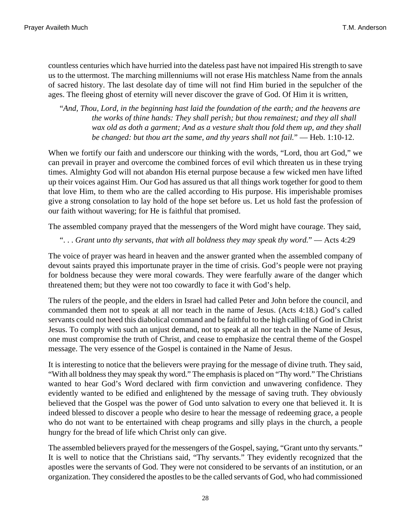countless centuries which have hurried into the dateless past have not impaired His strength to save us to the uttermost. The marching millenniums will not erase His matchless Name from the annals of sacred history. The last desolate day of time will not find Him buried in the sepulcher of the ages. The fleeing ghost of eternity will never discover the grave of God. Of Him it is written,

<span id="page-27-2"></span>"*And, Thou, Lord, in the beginning hast laid the foundation of the earth; and the heavens are the works of thine hands: They shall perish; but thou remainest; and they all shall wax old as doth a garment; And as a vesture shalt thou fold them up, and they shall be changed: but thou art the same, and thy years shall not fail.*" — [Heb. 1:10-12.](http://www.ccel.org/b/bible/asv/xml/asv.Heb.1.xml#Heb.1.10)

When we fortify our faith and underscore our thinking with the words, "Lord, thou art God," we can prevail in prayer and overcome the combined forces of evil which threaten us in these trying times. Almighty God will not abandon His eternal purpose because a few wicked men have lifted up their voices against Him. Our God has assured us that all things work together for good to them that love Him, to them who are the called according to His purpose. His imperishable promises give a strong consolation to lay hold of the hope set before us. Let us hold fast the profession of our faith without wavering; for He is faithful that promised.

The assembled company prayed that the messengers of the Word might have courage. They said,

<span id="page-27-1"></span>". . . *Grant unto thy servants, that with all boldness they may speak thy word.*" — [Acts 4:29](http://www.ccel.org/b/bible/asv/xml/asv.Acts.4.xml#Acts.4.29)

The voice of prayer was heard in heaven and the answer granted when the assembled company of devout saints prayed this importunate prayer in the time of crisis. God's people were not praying for boldness because they were moral cowards. They were fearfully aware of the danger which threatened them; but they were not too cowardly to face it with God's help.

<span id="page-27-0"></span>The rulers of the people, and the elders in Israel had called Peter and John before the council, and commanded them not to speak at all nor teach in the name of Jesus. [\(Acts 4:18.](http://www.ccel.org/b/bible/asv/xml/asv.Acts.4.xml#Acts.4.18)) God's called servants could not heed this diabolical command and be faithful to the high calling of God in Christ Jesus. To comply with such an unjust demand, not to speak at all nor teach in the Name of Jesus, one must compromise the truth of Christ, and cease to emphasize the central theme of the Gospel message. The very essence of the Gospel is contained in the Name of Jesus.

It is interesting to notice that the believers were praying for the message of divine truth. They said, "With all boldness they may speak thy word." The emphasis is placed on "Thy word." The Christians wanted to hear God's Word declared with firm conviction and unwavering confidence. They evidently wanted to be edified and enlightened by the message of saving truth. They obviously believed that the Gospel was the power of God unto salvation to every one that believed it. It is indeed blessed to discover a people who desire to hear the message of redeeming grace, a people who do not want to be entertained with cheap programs and silly plays in the church, a people hungry for the bread of life which Christ only can give.

The assembled believers prayed for the messengers of the Gospel, saying, "Grant unto thy servants." It is well to notice that the Christians said, "Thy servants." They evidently recognized that the apostles were the servants of God. They were not considered to be servants of an institution, or an organization. They considered the apostles to be the called servants of God, who had commissioned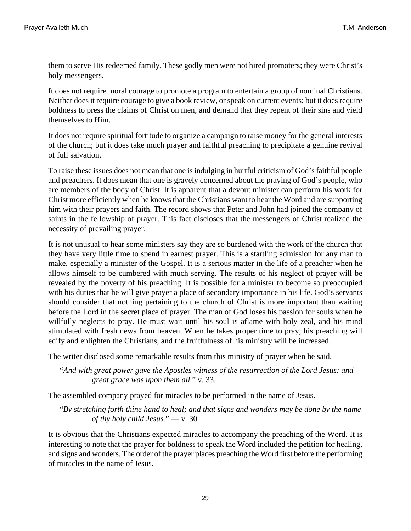them to serve His redeemed family. These godly men were not hired promoters; they were Christ's holy messengers.

It does not require moral courage to promote a program to entertain a group of nominal Christians. Neither does it require courage to give a book review, or speak on current events; but it does require boldness to press the claims of Christ on men, and demand that they repent of their sins and yield themselves to Him.

It does not require spiritual fortitude to organize a campaign to raise money for the general interests of the church; but it does take much prayer and faithful preaching to precipitate a genuine revival of full salvation.

To raise these issues does not mean that one is indulging in hurtful criticism of God's faithful people and preachers. It does mean that one is gravely concerned about the praying of God's people, who are members of the body of Christ. It is apparent that a devout minister can perform his work for Christ more efficiently when he knows that the Christians want to hear the Word and are supporting him with their prayers and faith. The record shows that Peter and John had joined the company of saints in the fellowship of prayer. This fact discloses that the messengers of Christ realized the necessity of prevailing prayer.

It is not unusual to hear some ministers say they are so burdened with the work of the church that they have very little time to spend in earnest prayer. This is a startling admission for any man to make, especially a minister of the Gospel. It is a serious matter in the life of a preacher when he allows himself to be cumbered with much serving. The results of his neglect of prayer will be revealed by the poverty of his preaching. It is possible for a minister to become so preoccupied with his duties that he will give prayer a place of secondary importance in his life. God's servants should consider that nothing pertaining to the church of Christ is more important than waiting before the Lord in the secret place of prayer. The man of God loses his passion for souls when he willfully neglects to pray. He must wait until his soul is aflame with holy zeal, and his mind stimulated with fresh news from heaven. When he takes proper time to pray, his preaching will edify and enlighten the Christians, and the fruitfulness of his ministry will be increased.

The writer disclosed some remarkable results from this ministry of prayer when he said,

<span id="page-28-1"></span><span id="page-28-0"></span>"*And with great power gave the Apostles witness of the resurrection of the Lord Jesus: and great grace was upon them all.*" [v. 33.](http://www.ccel.org/b/bible/asv/xml/asv.Acts.4.xml#Acts.4.33)

The assembled company prayed for miracles to be performed in the name of Jesus.

"*By stretching forth thine hand to heal; and that signs and wonders may be done by the name of thy holy child Jesus.*" — [v. 30](http://www.ccel.org/b/bible/asv/xml/asv.Acts.4.xml#Acts.4.30)

It is obvious that the Christians expected miracles to accompany the preaching of the Word. It is interesting to note that the prayer for boldness to speak the Word included the petition for healing, and signs and wonders. The order of the prayer places preaching the Word first before the performing of miracles in the name of Jesus.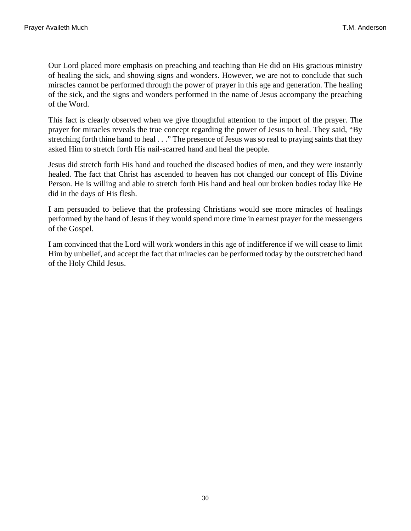Our Lord placed more emphasis on preaching and teaching than He did on His gracious ministry of healing the sick, and showing signs and wonders. However, we are not to conclude that such miracles cannot be performed through the power of prayer in this age and generation. The healing of the sick, and the signs and wonders performed in the name of Jesus accompany the preaching of the Word.

This fact is clearly observed when we give thoughtful attention to the import of the prayer. The prayer for miracles reveals the true concept regarding the power of Jesus to heal. They said, "By stretching forth thine hand to heal . . ." The presence of Jesus was so real to praying saints that they asked Him to stretch forth His nail-scarred hand and heal the people.

Jesus did stretch forth His hand and touched the diseased bodies of men, and they were instantly healed. The fact that Christ has ascended to heaven has not changed our concept of His Divine Person. He is willing and able to stretch forth His hand and heal our broken bodies today like He did in the days of His flesh.

I am persuaded to believe that the professing Christians would see more miracles of healings performed by the hand of Jesus if they would spend more time in earnest prayer for the messengers of the Gospel.

I am convinced that the Lord will work wonders in this age of indifference if we will cease to limit Him by unbelief, and accept the fact that miracles can be performed today by the outstretched hand of the Holy Child Jesus.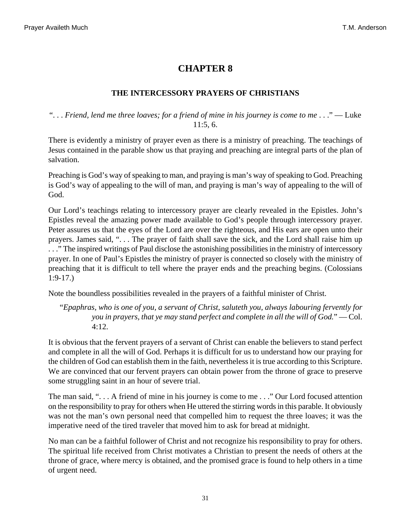#### **THE INTERCESSORY PRAYERS OF CHRISTIANS**

#### <span id="page-30-0"></span>". . . *Friend, lend me three loaves; for a friend of mine in his journey is come to me* . . ." — [Luke](http://www.ccel.org/b/bible/asv/xml/asv.Luke.11.xml#Luke.11.5 Bible:Luke.11.6) [11:5, 6](http://www.ccel.org/b/bible/asv/xml/asv.Luke.11.xml#Luke.11.5 Bible:Luke.11.6).

There is evidently a ministry of prayer even as there is a ministry of preaching. The teachings of Jesus contained in the parable show us that praying and preaching are integral parts of the plan of salvation.

Preaching is God's way of speaking to man, and praying is man's way of speaking to God. Preaching is God's way of appealing to the will of man, and praying is man's way of appealing to the will of God.

<span id="page-30-1"></span>Our Lord's teachings relating to intercessory prayer are clearly revealed in the Epistles. John's Epistles reveal the amazing power made available to God's people through intercessory prayer. Peter assures us that the eyes of the Lord are over the righteous, and His ears are open unto their prayers. James said, ". . . The prayer of faith shall save the sick, and the Lord shall raise him up . . ." The inspired writings of Paul disclose the astonishing possibilities in the ministry of intercessory prayer. In one of Paul's Epistles the ministry of prayer is connected so closely with the ministry of preaching that it is difficult to tell where the prayer ends and the preaching begins. ([Colossians](http://www.ccel.org/b/bible/asv/xml/asv.Col.1.xml#Col.1.9) [1:9-17](http://www.ccel.org/b/bible/asv/xml/asv.Col.1.xml#Col.1.9).)

Note the boundless possibilities revealed in the prayers of a faithful minister of Christ.

<span id="page-30-2"></span>"*Epaphras, who is one of you, a servant of Christ, saluteth you, always labouring fervently for you in prayers, that ye may stand perfect and complete in all the will of God.*" — [Col.](http://www.ccel.org/b/bible/asv/xml/asv.Col.4.xml#Col.4.12) [4:12](http://www.ccel.org/b/bible/asv/xml/asv.Col.4.xml#Col.4.12).

It is obvious that the fervent prayers of a servant of Christ can enable the believers to stand perfect and complete in all the will of God. Perhaps it is difficult for us to understand how our praying for the children of God can establish them in the faith, nevertheless it is true according to this Scripture. We are convinced that our fervent prayers can obtain power from the throne of grace to preserve some struggling saint in an hour of severe trial.

The man said, ". . . A friend of mine in his journey is come to me . . ." Our Lord focused attention on the responsibility to pray for others when He uttered the stirring words in this parable. It obviously was not the man's own personal need that compelled him to request the three loaves; it was the imperative need of the tired traveler that moved him to ask for bread at midnight.

No man can be a faithful follower of Christ and not recognize his responsibility to pray for others. The spiritual life received from Christ motivates a Christian to present the needs of others at the throne of grace, where mercy is obtained, and the promised grace is found to help others in a time of urgent need.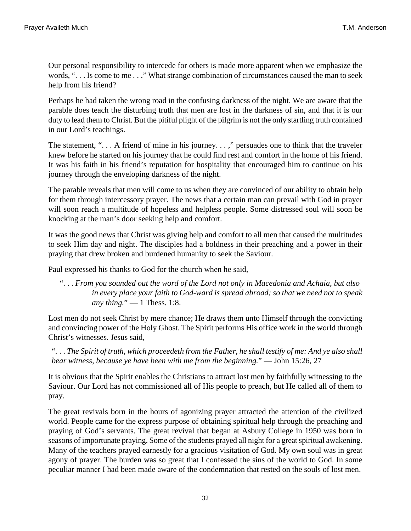Our personal responsibility to intercede for others is made more apparent when we emphasize the words, ". . . Is come to me . . ." What strange combination of circumstances caused the man to seek help from his friend?

Perhaps he had taken the wrong road in the confusing darkness of the night. We are aware that the parable does teach the disturbing truth that men are lost in the darkness of sin, and that it is our duty to lead them to Christ. But the pitiful plight of the pilgrim is not the only startling truth contained in our Lord's teachings.

The statement, ". . . A friend of mine in his journey. . . ," persuades one to think that the traveler knew before he started on his journey that he could find rest and comfort in the home of his friend. It was his faith in his friend's reputation for hospitality that encouraged him to continue on his journey through the enveloping darkness of the night.

The parable reveals that men will come to us when they are convinced of our ability to obtain help for them through intercessory prayer. The news that a certain man can prevail with God in prayer will soon reach a multitude of hopeless and helpless people. Some distressed soul will soon be knocking at the man's door seeking help and comfort.

It was the good news that Christ was giving help and comfort to all men that caused the multitudes to seek Him day and night. The disciples had a boldness in their preaching and a power in their praying that drew broken and burdened humanity to seek the Saviour.

Paul expressed his thanks to God for the church when he said,

<span id="page-31-1"></span>". . . *From you sounded out the word of the Lord not only in Macedonia and Achaia, but also in every place your faith to God-ward is spread abroad; so that we need not to speak any thing.*" — [1 Thess. 1:8.](http://www.ccel.org/b/bible/asv/xml/asv.iThess.1.xml#iThess.1.8)

<span id="page-31-0"></span>Lost men do not seek Christ by mere chance; He draws them unto Himself through the convicting and convincing power of the Holy Ghost. The Spirit performs His office work in the world through Christ's witnesses. Jesus said,

". . . *The Spirit of truth, which proceedeth from the Father, he shall testify of me: And ye also shall bear witness, because ye have been with me from the beginning.*" — [John 15:26, 27](http://www.ccel.org/b/bible/asv/xml/asv.John.15.xml#John.15.26 Bible:John.15.27)

It is obvious that the Spirit enables the Christians to attract lost men by faithfully witnessing to the Saviour. Our Lord has not commissioned all of His people to preach, but He called all of them to pray.

The great revivals born in the hours of agonizing prayer attracted the attention of the civilized world. People came for the express purpose of obtaining spiritual help through the preaching and praying of God's servants. The great revival that began at Asbury College in 1950 was born in seasons of importunate praying. Some of the students prayed all night for a great spiritual awakening. Many of the teachers prayed earnestly for a gracious visitation of God. My own soul was in great agony of prayer. The burden was so great that I confessed the sins of the world to God. In some peculiar manner I had been made aware of the condemnation that rested on the souls of lost men.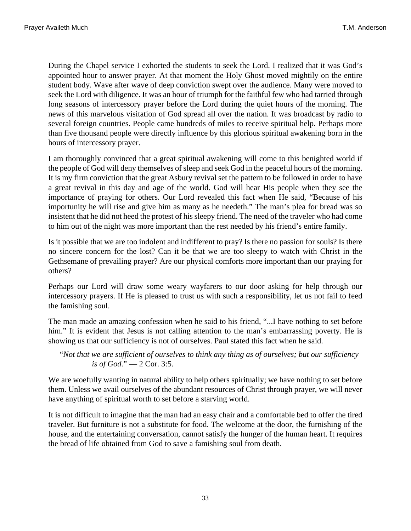During the Chapel service I exhorted the students to seek the Lord. I realized that it was God's appointed hour to answer prayer. At that moment the Holy Ghost moved mightily on the entire student body. Wave after wave of deep conviction swept over the audience. Many were moved to seek the Lord with diligence. It was an hour of triumph for the faithful few who had tarried through long seasons of intercessory prayer before the Lord during the quiet hours of the morning. The news of this marvelous visitation of God spread all over the nation. It was broadcast by radio to several foreign countries. People came hundreds of miles to receive spiritual help. Perhaps more than five thousand people were directly influence by this glorious spiritual awakening born in the hours of intercessory prayer.

I am thoroughly convinced that a great spiritual awakening will come to this benighted world if the people of God will deny themselves of sleep and seek God in the peaceful hours of the morning. It is my firm conviction that the great Asbury revival set the pattern to be followed in order to have a great revival in this day and age of the world. God will hear His people when they see the importance of praying for others. Our Lord revealed this fact when He said, "Because of his importunity he will rise and give him as many as he needeth." The man's plea for bread was so insistent that he did not heed the protest of his sleepy friend. The need of the traveler who had come to him out of the night was more important than the rest needed by his friend's entire family.

Is it possible that we are too indolent and indifferent to pray? Is there no passion for souls? Is there no sincere concern for the lost? Can it be that we are too sleepy to watch with Christ in the Gethsemane of prevailing prayer? Are our physical comforts more important than our praying for others?

Perhaps our Lord will draw some weary wayfarers to our door asking for help through our intercessory prayers. If He is pleased to trust us with such a responsibility, let us not fail to feed the famishing soul.

<span id="page-32-0"></span>The man made an amazing confession when he said to his friend, "...I have nothing to set before him." It is evident that Jesus is not calling attention to the man's embarrassing poverty. He is showing us that our sufficiency is not of ourselves. Paul stated this fact when he said.

"*Not that we are sufficient of ourselves to think any thing as of ourselves; but our sufficiency is of God.*" — [2 Cor. 3:5.](http://www.ccel.org/b/bible/asv/xml/asv.iiCor.3.xml#iiCor.3.5)

We are woefully wanting in natural ability to help others spiritually; we have nothing to set before them. Unless we avail ourselves of the abundant resources of Christ through prayer, we will never have anything of spiritual worth to set before a starving world.

It is not difficult to imagine that the man had an easy chair and a comfortable bed to offer the tired traveler. But furniture is not a substitute for food. The welcome at the door, the furnishing of the house, and the entertaining conversation, cannot satisfy the hunger of the human heart. It requires the bread of life obtained from God to save a famishing soul from death.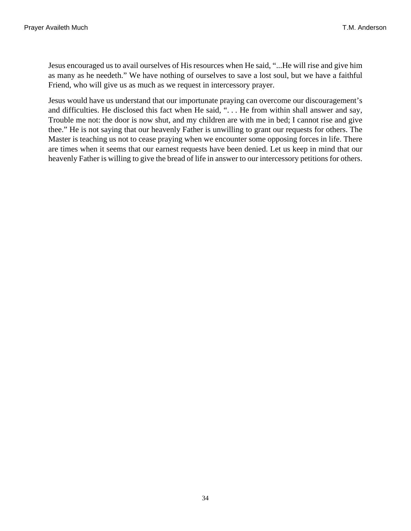Jesus encouraged us to avail ourselves of His resources when He said, "...He will rise and give him as many as he needeth." We have nothing of ourselves to save a lost soul, but we have a faithful Friend, who will give us as much as we request in intercessory prayer.

Jesus would have us understand that our importunate praying can overcome our discouragement's and difficulties. He disclosed this fact when He said, ". . . He from within shall answer and say, Trouble me not: the door is now shut, and my children are with me in bed; I cannot rise and give thee." He is not saying that our heavenly Father is unwilling to grant our requests for others. The Master is teaching us not to cease praying when we encounter some opposing forces in life. There are times when it seems that our earnest requests have been denied. Let us keep in mind that our heavenly Father is willing to give the bread of life in answer to our intercessory petitions for others.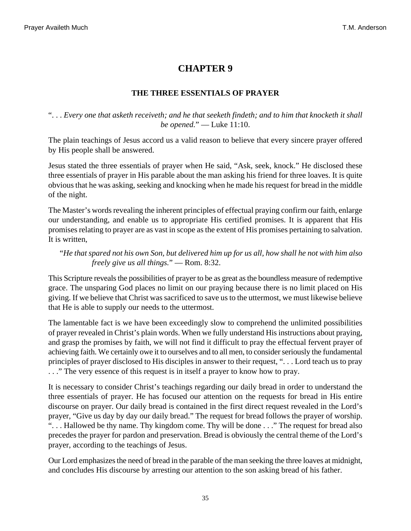### **THE THREE ESSENTIALS OF PRAYER**

#### <span id="page-34-0"></span>". . . *Every one that asketh receiveth; and he that seeketh findeth; and to him that knocketh it shall be opened.*" — [Luke 11:10.](http://www.ccel.org/b/bible/asv/xml/asv.Luke.11.xml#Luke.11.10)

The plain teachings of Jesus accord us a valid reason to believe that every sincere prayer offered by His people shall be answered.

Jesus stated the three essentials of prayer when He said, "Ask, seek, knock." He disclosed these three essentials of prayer in His parable about the man asking his friend for three loaves. It is quite obvious that he was asking, seeking and knocking when he made his request for bread in the middle of the night.

The Master's words revealing the inherent principles of effectual praying confirm our faith, enlarge our understanding, and enable us to appropriate His certified promises. It is apparent that His promises relating to prayer are as vast in scope as the extent of His promises pertaining to salvation. It is written,

# <span id="page-34-1"></span>"*He that spared not his own Son, but delivered him up for us all, how shall he not with him also freely give us all things.*" — [Rom. 8:32.](http://www.ccel.org/b/bible/asv/xml/asv.Rom.8.xml#Rom.8.32)

This Scripture reveals the possibilities of prayer to be as great as the boundless measure of redemptive grace. The unsparing God places no limit on our praying because there is no limit placed on His giving. If we believe that Christ was sacrificed to save us to the uttermost, we must likewise believe that He is able to supply our needs to the uttermost.

The lamentable fact is we have been exceedingly slow to comprehend the unlimited possibilities of prayer revealed in Christ's plain words. When we fully understand His instructions about praying, and grasp the promises by faith, we will not find it difficult to pray the effectual fervent prayer of achieving faith. We certainly owe it to ourselves and to all men, to consider seriously the fundamental principles of prayer disclosed to His disciples in answer to their request, ". . . Lord teach us to pray . . ." The very essence of this request is in itself a prayer to know how to pray.

It is necessary to consider Christ's teachings regarding our daily bread in order to understand the three essentials of prayer. He has focused our attention on the requests for bread in His entire discourse on prayer. Our daily bread is contained in the first direct request revealed in the Lord's prayer, "Give us day by day our daily bread." The request for bread follows the prayer of worship. ". . . Hallowed be thy name. Thy kingdom come. Thy will be done . . ." The request for bread also precedes the prayer for pardon and preservation. Bread is obviously the central theme of the Lord's prayer, according to the teachings of Jesus.

Our Lord emphasizes the need of bread in the parable of the man seeking the three loaves at midnight, and concludes His discourse by arresting our attention to the son asking bread of his father.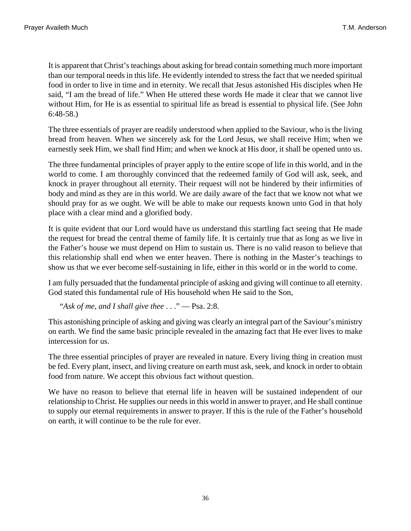<span id="page-35-1"></span>It is apparent that Christ's teachings about asking for bread contain something much more important than our temporal needs in this life. He evidently intended to stress the fact that we needed spiritual food in order to live in time and in eternity. We recall that Jesus astonished His disciples when He said, "I am the bread of life." When He uttered these words He made it clear that we cannot live without Him, for He is as essential to spiritual life as bread is essential to physical life. (See [John](http://www.ccel.org/b/bible/asv/xml/asv.John.6.xml#John.6.48) [6:48-58](http://www.ccel.org/b/bible/asv/xml/asv.John.6.xml#John.6.48).)

The three essentials of prayer are readily understood when applied to the Saviour, who is the living bread from heaven. When we sincerely ask for the Lord Jesus, we shall receive Him; when we earnestly seek Him, we shall find Him; and when we knock at His door, it shall be opened unto us.

The three fundamental principles of prayer apply to the entire scope of life in this world, and in the world to come. I am thoroughly convinced that the redeemed family of God will ask, seek, and knock in prayer throughout all eternity. Their request will not be hindered by their infirmities of body and mind as they are in this world. We are daily aware of the fact that we know not what we should pray for as we ought. We will be able to make our requests known unto God in that holy place with a clear mind and a glorified body.

It is quite evident that our Lord would have us understand this startling fact seeing that He made the request for bread the central theme of family life. It is certainly true that as long as we live in the Father's house we must depend on Him to sustain us. There is no valid reason to believe that this relationship shall end when we enter heaven. There is nothing in the Master's teachings to show us that we ever become self-sustaining in life, either in this world or in the world to come.

<span id="page-35-0"></span>I am fully persuaded that the fundamental principle of asking and giving will continue to all eternity. God stated this fundamental rule of His household when He said to the Son,

"*Ask of me, and I shall give thee* . . ." — [Psa. 2:8.](http://www.ccel.org/b/bible/asv/xml/asv.Ps.2.xml#Ps.2.8)

This astonishing principle of asking and giving was clearly an integral part of the Saviour's ministry on earth. We find the same basic principle revealed in the amazing fact that He ever lives to make intercession for us.

The three essential principles of prayer are revealed in nature. Every living thing in creation must be fed. Every plant, insect, and living creature on earth must ask, seek, and knock in order to obtain food from nature. We accept this obvious fact without question.

We have no reason to believe that eternal life in heaven will be sustained independent of our relationship to Christ. He supplies our needs in this world in answer to prayer, and He shall continue to supply our eternal requirements in answer to prayer. If this is the rule of the Father's household on earth, it will continue to be the rule for ever.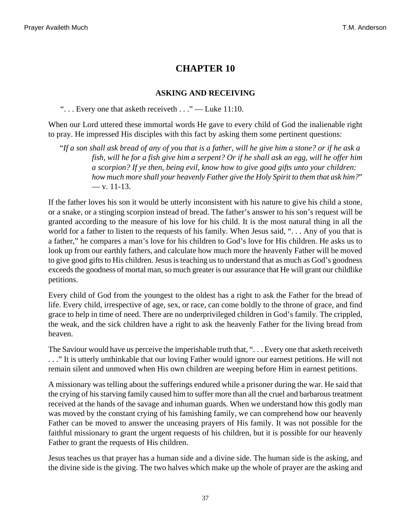#### **ASKING AND RECEIVING**

<span id="page-36-0"></span>"... Every one that asketh receiveth  $\dots$ " — [Luke 11:10](http://www.ccel.org/b/bible/asv/xml/asv.Luke.11.xml#Luke.11.10).

When our Lord uttered these immortal words He gave to every child of God the inalienable right to pray. He impressed His disciples with this fact by asking them some pertinent questions:

<span id="page-36-1"></span>"*If a son shall ask bread of any of you that is a father, will he give him a stone? or if he ask a fish, will he for a fish give him a serpent? Or if he shall ask an egg, will he offer him a scorpion? If ye then, being evil, know how to give good gifts unto your children: how much more shall your heavenly Father give the Holy Spirit to them that ask him?*"  $-$  [v. 11-13.](http://www.ccel.org/b/bible/asv/xml/asv.Luke.11.xml#Luke.11.11)

If the father loves his son it would be utterly inconsistent with his nature to give his child a stone, or a snake, or a stinging scorpion instead of bread. The father's answer to his son's request will be granted according to the measure of his love for his child. It is the most natural thing in all the world for a father to listen to the requests of his family. When Jesus said, ". . . Any of you that is a father," he compares a man's love for his children to God's love for His children. He asks us to look up from our earthly fathers, and calculate how much more the heavenly Father will be moved to give good gifts to His children. Jesus is teaching us to understand that as much as God's goodness exceeds the goodness of mortal man, so much greater is our assurance that He will grant our childlike petitions.

Every child of God from the youngest to the oldest has a right to ask the Father for the bread of life. Every child, irrespective of age, sex, or race, can come boldly to the throne of grace, and find grace to help in time of need. There are no underprivileged children in God's family. The crippled, the weak, and the sick children have a right to ask the heavenly Father for the living bread from heaven.

The Saviour would have us perceive the imperishable truth that, ". . . Every one that asketh receiveth . . ." It is utterly unthinkable that our loving Father would ignore our earnest petitions. He will not remain silent and unmoved when His own children are weeping before Him in earnest petitions.

A missionary was telling about the sufferings endured while a prisoner during the war. He said that the crying of his starving family caused him to suffer more than all the cruel and barbarous treatment received at the hands of the savage and inhuman guards. When we understand how this godly man was moved by the constant crying of his famishing family, we can comprehend how our heavenly Father can be moved to answer the unceasing prayers of His family. It was not possible for the faithful missionary to grant the urgent requests of his children, but it is possible for our heavenly Father to grant the requests of His children.

Jesus teaches us that prayer has a human side and a divine side. The human side is the asking, and the divine side is the giving. The two halves which make up the whole of prayer are the asking and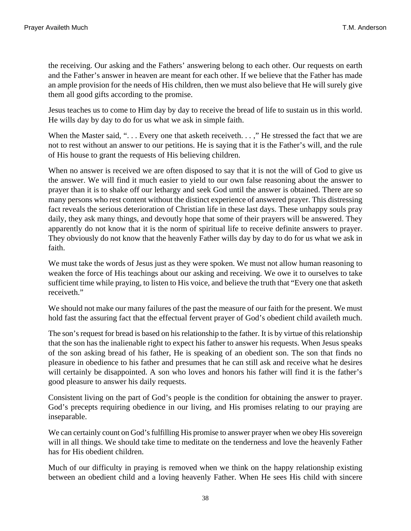the receiving. Our asking and the Fathers' answering belong to each other. Our requests on earth and the Father's answer in heaven are meant for each other. If we believe that the Father has made an ample provision for the needs of His children, then we must also believe that He will surely give them all good gifts according to the promise.

Jesus teaches us to come to Him day by day to receive the bread of life to sustain us in this world. He wills day by day to do for us what we ask in simple faith.

When the Master said, "... Every one that asketh receiveth...," He stressed the fact that we are not to rest without an answer to our petitions. He is saying that it is the Father's will, and the rule of His house to grant the requests of His believing children.

When no answer is received we are often disposed to say that it is not the will of God to give us the answer. We will find it much easier to yield to our own false reasoning about the answer to prayer than it is to shake off our lethargy and seek God until the answer is obtained. There are so many persons who rest content without the distinct experience of answered prayer. This distressing fact reveals the serious deterioration of Christian life in these last days. These unhappy souls pray daily, they ask many things, and devoutly hope that some of their prayers will be answered. They apparently do not know that it is the norm of spiritual life to receive definite answers to prayer. They obviously do not know that the heavenly Father wills day by day to do for us what we ask in faith.

We must take the words of Jesus just as they were spoken. We must not allow human reasoning to weaken the force of His teachings about our asking and receiving. We owe it to ourselves to take sufficient time while praying, to listen to His voice, and believe the truth that "Every one that asketh receiveth."

We should not make our many failures of the past the measure of our faith for the present. We must hold fast the assuring fact that the effectual fervent prayer of God's obedient child availeth much.

The son's request for bread is based on his relationship to the father. It is by virtue of this relationship that the son has the inalienable right to expect his father to answer his requests. When Jesus speaks of the son asking bread of his father, He is speaking of an obedient son. The son that finds no pleasure in obedience to his father and presumes that he can still ask and receive what he desires will certainly be disappointed. A son who loves and honors his father will find it is the father's good pleasure to answer his daily requests.

Consistent living on the part of God's people is the condition for obtaining the answer to prayer. God's precepts requiring obedience in our living, and His promises relating to our praying are inseparable.

We can certainly count on God's fulfilling His promise to answer prayer when we obey His sovereign will in all things. We should take time to meditate on the tenderness and love the heavenly Father has for His obedient children.

Much of our difficulty in praying is removed when we think on the happy relationship existing between an obedient child and a loving heavenly Father. When He sees His child with sincere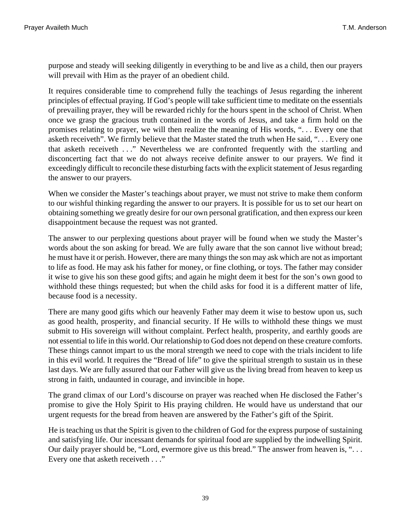purpose and steady will seeking diligently in everything to be and live as a child, then our prayers will prevail with Him as the prayer of an obedient child.

It requires considerable time to comprehend fully the teachings of Jesus regarding the inherent principles of effectual praying. If God's people will take sufficient time to meditate on the essentials of prevailing prayer, they will be rewarded richly for the hours spent in the school of Christ. When once we grasp the gracious truth contained in the words of Jesus, and take a firm hold on the promises relating to prayer, we will then realize the meaning of His words, ". . . Every one that asketh receiveth". We firmly believe that the Master stated the truth when He said, ". . . Every one that asketh receiveth . . ." Nevertheless we are confronted frequently with the startling and disconcerting fact that we do not always receive definite answer to our prayers. We find it exceedingly difficult to reconcile these disturbing facts with the explicit statement of Jesus regarding the answer to our prayers.

When we consider the Master's teachings about prayer, we must not strive to make them conform to our wishful thinking regarding the answer to our prayers. It is possible for us to set our heart on obtaining something we greatly desire for our own personal gratification, and then express our keen disappointment because the request was not granted.

The answer to our perplexing questions about prayer will be found when we study the Master's words about the son asking for bread. We are fully aware that the son cannot live without bread; he must have it or perish. However, there are many things the son may ask which are not as important to life as food. He may ask his father for money, or fine clothing, or toys. The father may consider it wise to give his son these good gifts; and again he might deem it best for the son's own good to withhold these things requested; but when the child asks for food it is a different matter of life, because food is a necessity.

There are many good gifts which our heavenly Father may deem it wise to bestow upon us, such as good health, prosperity, and financial security. If He wills to withhold these things we must submit to His sovereign will without complaint. Perfect health, prosperity, and earthly goods are not essential to life in this world. Our relationship to God does not depend on these creature comforts. These things cannot impart to us the moral strength we need to cope with the trials incident to life in this evil world. It requires the "Bread of life" to give the spiritual strength to sustain us in these last days. We are fully assured that our Father will give us the living bread from heaven to keep us strong in faith, undaunted in courage, and invincible in hope.

The grand climax of our Lord's discourse on prayer was reached when He disclosed the Father's promise to give the Holy Spirit to His praying children. He would have us understand that our urgent requests for the bread from heaven are answered by the Father's gift of the Spirit.

He is teaching us that the Spirit is given to the children of God for the express purpose of sustaining and satisfying life. Our incessant demands for spiritual food are supplied by the indwelling Spirit. Our daily prayer should be, "Lord, evermore give us this bread." The answer from heaven is, "... Every one that asketh receiveth . . ."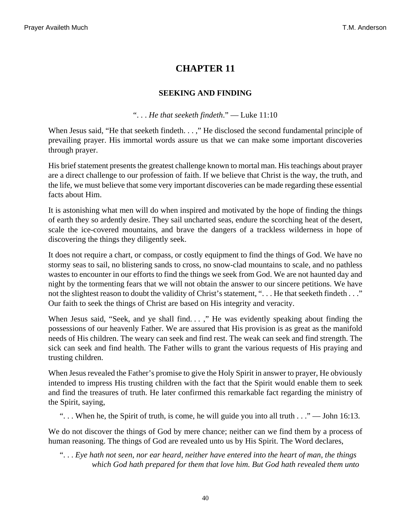#### **SEEKING AND FINDING**

#### ". . . *He that seeketh findeth*." — [Luke 11:10](http://www.ccel.org/b/bible/asv/xml/asv.Luke.11.xml#Luke.11.10)

<span id="page-39-0"></span>When Jesus said, "He that seeketh findeth. . . ," He disclosed the second fundamental principle of prevailing prayer. His immortal words assure us that we can make some important discoveries through prayer.

His brief statement presents the greatest challenge known to mortal man. His teachings about prayer are a direct challenge to our profession of faith. If we believe that Christ is the way, the truth, and the life, we must believe that some very important discoveries can be made regarding these essential facts about Him.

It is astonishing what men will do when inspired and motivated by the hope of finding the things of earth they so ardently desire. They sail uncharted seas, endure the scorching heat of the desert, scale the ice-covered mountains, and brave the dangers of a trackless wilderness in hope of discovering the things they diligently seek.

It does not require a chart, or compass, or costly equipment to find the things of God. We have no stormy seas to sail, no blistering sands to cross, no snow-clad mountains to scale, and no pathless wastes to encounter in our efforts to find the things we seek from God. We are not haunted day and night by the tormenting fears that we will not obtain the answer to our sincere petitions. We have not the slightest reason to doubt the validity of Christ's statement, ". . . He that seeketh findeth . . ." Our faith to seek the things of Christ are based on His integrity and veracity.

When Jesus said, "Seek, and ye shall find...," He was evidently speaking about finding the possessions of our heavenly Father. We are assured that His provision is as great as the manifold needs of His children. The weary can seek and find rest. The weak can seek and find strength. The sick can seek and find health. The Father wills to grant the various requests of His praying and trusting children.

<span id="page-39-1"></span>When Jesus revealed the Father's promise to give the Holy Spirit in answer to prayer, He obviously intended to impress His trusting children with the fact that the Spirit would enable them to seek and find the treasures of truth. He later confirmed this remarkable fact regarding the ministry of the Spirit, saying,

"... When he, the Spirit of truth, is come, he will guide you into all truth  $\ldots$ " — [John 16:13.](http://www.ccel.org/b/bible/asv/xml/asv.John.16.xml#John.16.13)

We do not discover the things of God by mere chance; neither can we find them by a process of human reasoning. The things of God are revealed unto us by His Spirit. The Word declares,

". . . *Eye hath not seen, nor ear heard, neither have entered into the heart of man, the things which God hath prepared for them that love him. But God hath revealed them unto*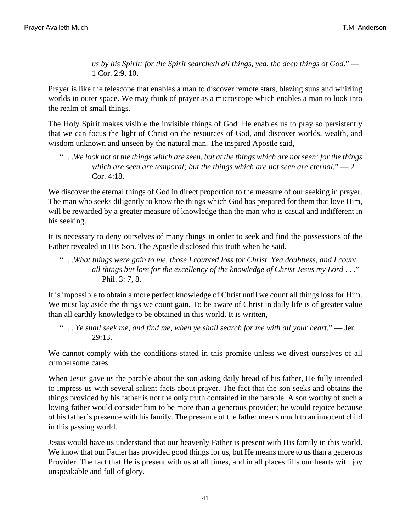<span id="page-40-1"></span>*us by his Spirit: for the Spirit searcheth all things, yea, the deep things of God.*" — [1 Cor. 2:9, 10](http://www.ccel.org/b/bible/asv/xml/asv.iCor.2.xml#iCor.2.9 Bible:1Cor.2.10).

Prayer is like the telescope that enables a man to discover remote stars, blazing suns and whirling worlds in outer space. We may think of prayer as a microscope which enables a man to look into the realm of small things.

The Holy Spirit makes visible the invisible things of God. He enables us to pray so persistently that we can focus the light of Christ on the resources of God, and discover worlds, wealth, and wisdom unknown and unseen by the natural man. The inspired Apostle said,

<span id="page-40-2"></span>". . .*We look not at the things which are seen, but at the things which are not seen: for the things which are seen are temporal; but the things which are not seen are eternal.*" — [2](http://www.ccel.org/b/bible/asv/xml/asv.iiCor.4.xml#iiCor.4.18) [Cor. 4:18](http://www.ccel.org/b/bible/asv/xml/asv.iiCor.4.xml#iiCor.4.18).

We discover the eternal things of God in direct proportion to the measure of our seeking in prayer. The man who seeks diligently to know the things which God has prepared for them that love Him, will be rewarded by a greater measure of knowledge than the man who is casual and indifferent in his seeking.

It is necessary to deny ourselves of many things in order to seek and find the possessions of the Father revealed in His Son. The Apostle disclosed this truth when he said,

<span id="page-40-3"></span>". . .*What things were gain to me, those I counted loss for Christ. Yea doubtless, and I count all things but loss for the excellency of the knowledge of Christ Jesus my Lord* . . ." — [Phil. 3: 7, 8.](http://www.ccel.org/b/bible/asv/xml/asv.Phil.3.xml#Phil.3.7 Bible:Phil.3.8)

<span id="page-40-0"></span>It is impossible to obtain a more perfect knowledge of Christ until we count all things loss for Him. We must lay aside the things we count gain. To be aware of Christ in daily life is of greater value than all earthly knowledge to be obtained in this world. It is written,

". . . *Ye shall seek me, and find me, when ye shall search for me with all your heart.*" — [Jer.](http://www.ccel.org/b/bible/asv/xml/asv.Jer.29.xml#Jer.29.13) [29:13](http://www.ccel.org/b/bible/asv/xml/asv.Jer.29.xml#Jer.29.13).

We cannot comply with the conditions stated in this promise unless we divest ourselves of all cumbersome cares.

When Jesus gave us the parable about the son asking daily bread of his father, He fully intended to impress us with several salient facts about prayer. The fact that the son seeks and obtains the things provided by his father is not the only truth contained in the parable. A son worthy of such a loving father would consider him to be more than a generous provider; he would rejoice because of his father's presence with his family. The presence of the father means much to an innocent child in this passing world.

Jesus would have us understand that our heavenly Father is present with His family in this world. We know that our Father has provided good things for us, but He means more to us than a generous Provider. The fact that He is present with us at all times, and in all places fills our hearts with joy unspeakable and full of glory.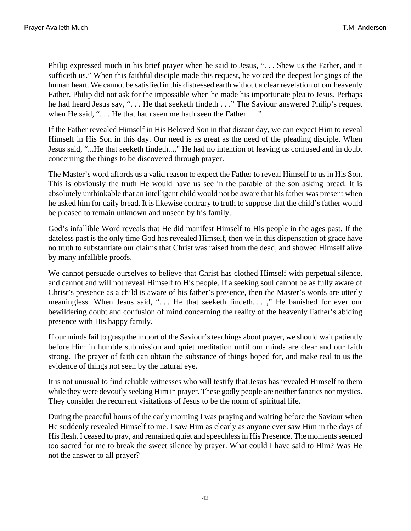Philip expressed much in his brief prayer when he said to Jesus, ". . . Shew us the Father, and it sufficeth us." When this faithful disciple made this request, he voiced the deepest longings of the human heart. We cannot be satisfied in this distressed earth without a clear revelation of our heavenly Father. Philip did not ask for the impossible when he made his importunate plea to Jesus. Perhaps he had heard Jesus say, ". . . He that seeketh findeth . . ." The Saviour answered Philip's request when He said, "... He that hath seen me hath seen the Father ..."

If the Father revealed Himself in His Beloved Son in that distant day, we can expect Him to reveal Himself in His Son in this day. Our need is as great as the need of the pleading disciple. When Jesus said, "...He that seeketh findeth...," He had no intention of leaving us confused and in doubt concerning the things to be discovered through prayer.

The Master's word affords us a valid reason to expect the Father to reveal Himself to us in His Son. This is obviously the truth He would have us see in the parable of the son asking bread. It is absolutely unthinkable that an intelligent child would not be aware that his father was present when he asked him for daily bread. It is likewise contrary to truth to suppose that the child's father would be pleased to remain unknown and unseen by his family.

God's infallible Word reveals that He did manifest Himself to His people in the ages past. If the dateless past is the only time God has revealed Himself, then we in this dispensation of grace have no truth to substantiate our claims that Christ was raised from the dead, and showed Himself alive by many infallible proofs.

We cannot persuade ourselves to believe that Christ has clothed Himself with perpetual silence, and cannot and will not reveal Himself to His people. If a seeking soul cannot be as fully aware of Christ's presence as a child is aware of his father's presence, then the Master's words are utterly meaningless. When Jesus said, ". . . He that seeketh findeth. . . ," He banished for ever our bewildering doubt and confusion of mind concerning the reality of the heavenly Father's abiding presence with His happy family.

If our minds fail to grasp the import of the Saviour's teachings about prayer, we should wait patiently before Him in humble submission and quiet meditation until our minds are clear and our faith strong. The prayer of faith can obtain the substance of things hoped for, and make real to us the evidence of things not seen by the natural eye.

It is not unusual to find reliable witnesses who will testify that Jesus has revealed Himself to them while they were devoutly seeking Him in prayer. These godly people are neither fanatics nor mystics. They consider the recurrent visitations of Jesus to be the norm of spiritual life.

During the peaceful hours of the early morning I was praying and waiting before the Saviour when He suddenly revealed Himself to me. I saw Him as clearly as anyone ever saw Him in the days of His flesh. I ceased to pray, and remained quiet and speechless in His Presence. The moments seemed too sacred for me to break the sweet silence by prayer. What could I have said to Him? Was He not the answer to all prayer?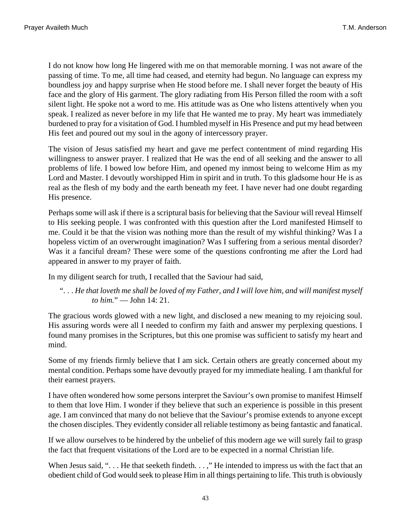I do not know how long He lingered with me on that memorable morning. I was not aware of the passing of time. To me, all time had ceased, and eternity had begun. No language can express my boundless joy and happy surprise when He stood before me. I shall never forget the beauty of His face and the glory of His garment. The glory radiating from His Person filled the room with a soft silent light. He spoke not a word to me. His attitude was as One who listens attentively when you speak. I realized as never before in my life that He wanted me to pray. My heart was immediately burdened to pray for a visitation of God. I humbled myself in His Presence and put my head between His feet and poured out my soul in the agony of intercessory prayer.

The vision of Jesus satisfied my heart and gave me perfect contentment of mind regarding His willingness to answer prayer. I realized that He was the end of all seeking and the answer to all problems of life. I bowed low before Him, and opened my inmost being to welcome Him as my Lord and Master. I devoutly worshipped Him in spirit and in truth. To this gladsome hour He is as real as the flesh of my body and the earth beneath my feet. I have never had one doubt regarding His presence.

Perhaps some will ask if there is a scriptural basis for believing that the Saviour will reveal Himself to His seeking people. I was confronted with this question after the Lord manifested Himself to me. Could it be that the vision was nothing more than the result of my wishful thinking? Was I a hopeless victim of an overwrought imagination? Was I suffering from a serious mental disorder? Was it a fanciful dream? These were some of the questions confronting me after the Lord had appeared in answer to my prayer of faith.

In my diligent search for truth, I recalled that the Saviour had said,

<span id="page-42-0"></span>". . . *He that loveth me shall be loved of my Father, and I will love him, and will manifest myself to him.*" — [John 14: 21.](http://www.ccel.org/b/bible/asv/xml/asv.John.14.xml#John.14.21)

The gracious words glowed with a new light, and disclosed a new meaning to my rejoicing soul. His assuring words were all I needed to confirm my faith and answer my perplexing questions. I found many promises in the Scriptures, but this one promise was sufficient to satisfy my heart and mind.

Some of my friends firmly believe that I am sick. Certain others are greatly concerned about my mental condition. Perhaps some have devoutly prayed for my immediate healing. I am thankful for their earnest prayers.

I have often wondered how some persons interpret the Saviour's own promise to manifest Himself to them that love Him. I wonder if they believe that such an experience is possible in this present age. I am convinced that many do not believe that the Saviour's promise extends to anyone except the chosen disciples. They evidently consider all reliable testimony as being fantastic and fanatical.

If we allow ourselves to be hindered by the unbelief of this modern age we will surely fail to grasp the fact that frequent visitations of the Lord are to be expected in a normal Christian life.

When Jesus said, "... He that seeketh findeth...," He intended to impress us with the fact that an obedient child of God would seek to please Him in all things pertaining to life. This truth is obviously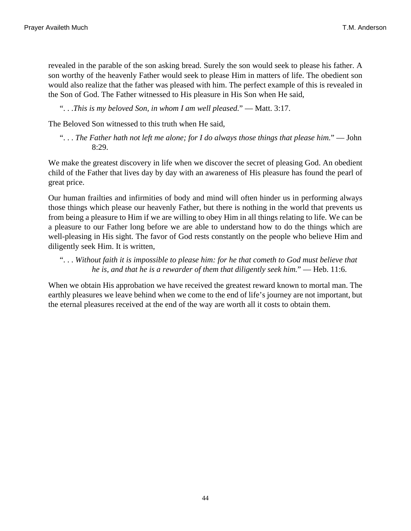revealed in the parable of the son asking bread. Surely the son would seek to please his father. A son worthy of the heavenly Father would seek to please Him in matters of life. The obedient son would also realize that the father was pleased with him. The perfect example of this is revealed in the Son of God. The Father witnessed to His pleasure in His Son when He said,

<span id="page-43-0"></span>". . .*This is my beloved Son, in whom I am well pleased.*" — [Matt. 3:17.](http://www.ccel.org/b/bible/asv/xml/asv.Matt.3.xml#Matt.3.17)

The Beloved Son witnessed to this truth when He said,

<span id="page-43-1"></span>". . . *The Father hath not left me alone; for I do always those things that please him.*" — [John](http://www.ccel.org/b/bible/asv/xml/asv.John.8.xml#John.8.29) [8:29](http://www.ccel.org/b/bible/asv/xml/asv.John.8.xml#John.8.29).

We make the greatest discovery in life when we discover the secret of pleasing God. An obedient child of the Father that lives day by day with an awareness of His pleasure has found the pearl of great price.

Our human frailties and infirmities of body and mind will often hinder us in performing always those things which please our heavenly Father, but there is nothing in the world that prevents us from being a pleasure to Him if we are willing to obey Him in all things relating to life. We can be a pleasure to our Father long before we are able to understand how to do the things which are well-pleasing in His sight. The favor of God rests constantly on the people who believe Him and diligently seek Him. It is written,

<span id="page-43-2"></span>". . . *Without faith it is impossible to please him: for he that cometh to God must believe that he is, and that he is a rewarder of them that diligently seek him.*" — [Heb. 11:6.](http://www.ccel.org/b/bible/asv/xml/asv.Heb.11.xml#Heb.11.6)

When we obtain His approbation we have received the greatest reward known to mortal man. The earthly pleasures we leave behind when we come to the end of life's journey are not important, but the eternal pleasures received at the end of the way are worth all it costs to obtain them.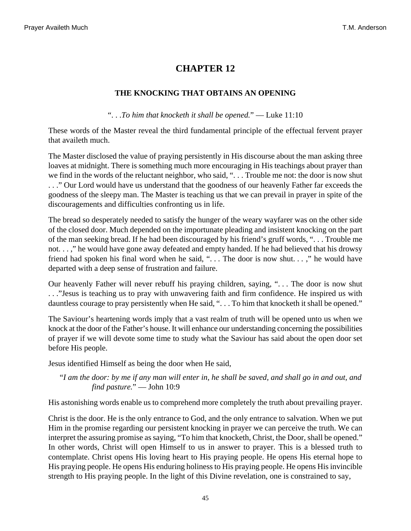### **THE KNOCKING THAT OBTAINS AN OPENING**

". . .*To him that knocketh it shall be opened.*" — [Luke 11:10](http://www.ccel.org/b/bible/asv/xml/asv.Luke.11.xml#Luke.11.10)

<span id="page-44-0"></span>These words of the Master reveal the third fundamental principle of the effectual fervent prayer that availeth much.

The Master disclosed the value of praying persistently in His discourse about the man asking three loaves at midnight. There is something much more encouraging in His teachings about prayer than we find in the words of the reluctant neighbor, who said, "... Trouble me not: the door is now shut . . ." Our Lord would have us understand that the goodness of our heavenly Father far exceeds the goodness of the sleepy man. The Master is teaching us that we can prevail in prayer in spite of the discouragements and difficulties confronting us in life.

The bread so desperately needed to satisfy the hunger of the weary wayfarer was on the other side of the closed door. Much depended on the importunate pleading and insistent knocking on the part of the man seeking bread. If he had been discouraged by his friend's gruff words, ". . . Trouble me not. . . ," he would have gone away defeated and empty handed. If he had believed that his drowsy friend had spoken his final word when he said, ". . . The door is now shut. . . ," he would have departed with a deep sense of frustration and failure.

Our heavenly Father will never rebuff his praying children, saying, ". . . The door is now shut . . ."Jesus is teaching us to pray with unwavering faith and firm confidence. He inspired us with dauntless courage to pray persistently when He said, "... To him that knocketh it shall be opened."

The Saviour's heartening words imply that a vast realm of truth will be opened unto us when we knock at the door of the Father's house. It will enhance our understanding concerning the possibilities of prayer if we will devote some time to study what the Saviour has said about the open door set before His people.

Jesus identified Himself as being the door when He said,

<span id="page-44-1"></span>"*I am the door: by me if any man will enter in, he shall be saved, and shall go in and out, and find pasture.*" — [John 10:9](http://www.ccel.org/b/bible/asv/xml/asv.John.10.xml#John.10.9)

His astonishing words enable us to comprehend more completely the truth about prevailing prayer.

Christ is the door. He is the only entrance to God, and the only entrance to salvation. When we put Him in the promise regarding our persistent knocking in prayer we can perceive the truth. We can interpret the assuring promise as saying, "To him that knocketh, Christ, the Door, shall be opened." In other words, Christ will open Himself to us in answer to prayer. This is a blessed truth to contemplate. Christ opens His loving heart to His praying people. He opens His eternal hope to His praying people. He opens His enduring holiness to His praying people. He opens His invincible strength to His praying people. In the light of this Divine revelation, one is constrained to say,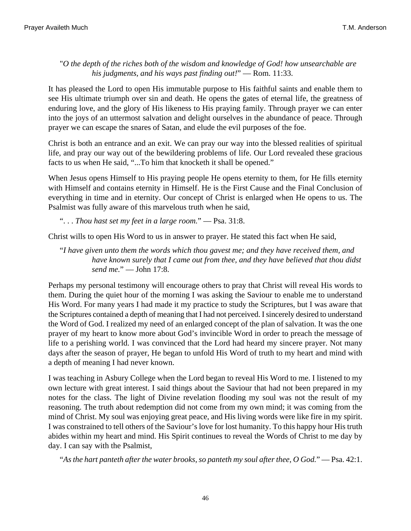<span id="page-45-3"></span>"*O the depth of the riches both of the wisdom and knowledge of God! how unsearchable are his judgments, and his ways past finding out!*" — [Rom. 11:33.](http://www.ccel.org/b/bible/asv/xml/asv.Rom.11.xml#Rom.11.33)

It has pleased the Lord to open His immutable purpose to His faithful saints and enable them to see His ultimate triumph over sin and death. He opens the gates of eternal life, the greatness of enduring love, and the glory of His likeness to His praying family. Through prayer we can enter into the joys of an uttermost salvation and delight ourselves in the abundance of peace. Through prayer we can escape the snares of Satan, and elude the evil purposes of the foe.

Christ is both an entrance and an exit. We can pray our way into the blessed realities of spiritual life, and pray our way out of the bewildering problems of life. Our Lord revealed these gracious facts to us when He said, "...To him that knocketh it shall be opened."

When Jesus opens Himself to His praying people He opens eternity to them, for He fills eternity with Himself and contains eternity in Himself. He is the First Cause and the Final Conclusion of everything in time and in eternity. Our concept of Christ is enlarged when He opens to us. The Psalmist was fully aware of this marvelous truth when he said,

<span id="page-45-0"></span>". . . *Thou hast set my feet in a large room.*" — [Psa. 31:8.](http://www.ccel.org/b/bible/asv/xml/asv.Ps.31.xml#Ps.31.8)

Christ wills to open His Word to us in answer to prayer. He stated this fact when He said,

<span id="page-45-2"></span>"*I have given unto them the words which thou gavest me; and they have received them, and have known surely that I came out from thee, and they have believed that thou didst send me.*" — [John 17:8](http://www.ccel.org/b/bible/asv/xml/asv.John.17.xml#John.17.8).

Perhaps my personal testimony will encourage others to pray that Christ will reveal His words to them. During the quiet hour of the morning I was asking the Saviour to enable me to understand His Word. For many years I had made it my practice to study the Scriptures, but I was aware that the Scriptures contained a depth of meaning that I had not perceived. I sincerely desired to understand the Word of God. I realized my need of an enlarged concept of the plan of salvation. It was the one prayer of my heart to know more about God's invincible Word in order to preach the message of life to a perishing world. I was convinced that the Lord had heard my sincere prayer. Not many days after the season of prayer, He began to unfold His Word of truth to my heart and mind with a depth of meaning I had never known.

<span id="page-45-1"></span>I was teaching in Asbury College when the Lord began to reveal His Word to me. I listened to my own lecture with great interest. I said things about the Saviour that had not been prepared in my notes for the class. The light of Divine revelation flooding my soul was not the result of my reasoning. The truth about redemption did not come from my own mind; it was coming from the mind of Christ. My soul was enjoying great peace, and His living words were like fire in my spirit. I was constrained to tell others of the Saviour's love for lost humanity. To this happy hour His truth abides within my heart and mind. His Spirit continues to reveal the Words of Christ to me day by day. I can say with the Psalmist,

"*As the hart panteth after the water brooks, so panteth my soul after thee, O God.*" — [Psa. 42:1](http://www.ccel.org/b/bible/asv/xml/asv.Ps.42.xml#Ps.42.1).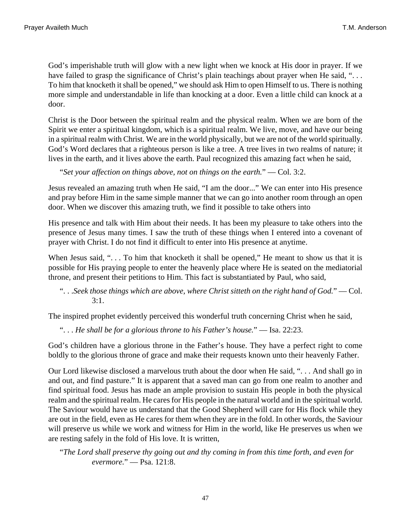God's imperishable truth will glow with a new light when we knock at His door in prayer. If we have failed to grasp the significance of Christ's plain teachings about prayer when He said, "... To him that knocketh it shall be opened," we should ask Him to open Himself to us. There is nothing more simple and understandable in life than knocking at a door. Even a little child can knock at a door.

Christ is the Door between the spiritual realm and the physical realm. When we are born of the Spirit we enter a spiritual kingdom, which is a spiritual realm. We live, move, and have our being in a spiritual realm with Christ. We are in the world physically, but we are not of the world spiritually. God's Word declares that a righteous person is like a tree. A tree lives in two realms of nature; it lives in the earth, and it lives above the earth. Paul recognized this amazing fact when he said,

<span id="page-46-3"></span>"*Set your affection on things above, not on things on the earth.*" — [Col. 3:2.](http://www.ccel.org/b/bible/asv/xml/asv.Col.3.xml#Col.3.2)

Jesus revealed an amazing truth when He said, "I am the door..." We can enter into His presence and pray before Him in the same simple manner that we can go into another room through an open door. When we discover this amazing truth, we find it possible to take others into

His presence and talk with Him about their needs. It has been my pleasure to take others into the presence of Jesus many times. I saw the truth of these things when I entered into a covenant of prayer with Christ. I do not find it difficult to enter into His presence at anytime.

<span id="page-46-2"></span>When Jesus said, "... To him that knocketh it shall be opened," He meant to show us that it is possible for His praying people to enter the heavenly place where He is seated on the mediatorial throne, and present their petitions to Him. This fact is substantiated by Paul, who said,

```
". . .Seek those things which are above, where Christ sitteth on the right hand of God." — Col.
3:1.
```
The inspired prophet evidently perceived this wonderful truth concerning Christ when he said,

". . . *He shall be for a glorious throne to his Father's house.*" — [Isa. 22:23.](http://www.ccel.org/b/bible/asv/xml/asv.Isa.22.xml#Isa.22.23)

God's children have a glorious throne in the Father's house. They have a perfect right to come boldly to the glorious throne of grace and make their requests known unto their heavenly Father.

Our Lord likewise disclosed a marvelous truth about the door when He said, ". . . And shall go in and out, and find pasture." It is apparent that a saved man can go from one realm to another and find spiritual food. Jesus has made an ample provision to sustain His people in both the physical realm and the spiritual realm. He cares for His people in the natural world and in the spiritual world. The Saviour would have us understand that the Good Shepherd will care for His flock while they are out in the field, even as He cares for them when they are in the fold. In other words, the Saviour will preserve us while we work and witness for Him in the world, like He preserves us when we are resting safely in the fold of His love. It is written,

<span id="page-46-0"></span>"*The Lord shall preserve thy going out and thy coming in from this time forth, and even for evermore.*" — [Psa. 121:8.](http://www.ccel.org/b/bible/asv/xml/asv.Ps.121.xml#Ps.121.8)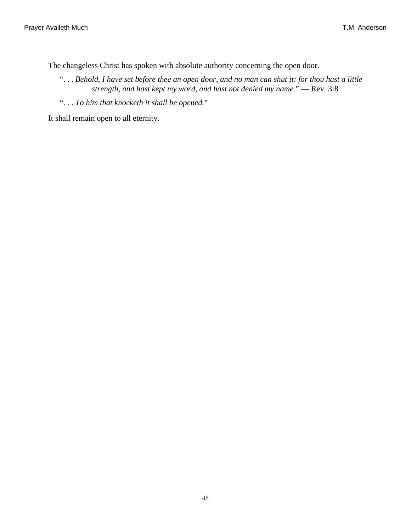The changeless Christ has spoken with absolute authority concerning the open door.

- <span id="page-47-0"></span>". . . *Behold, I have set before thee an open door, and no man can shut it: for thou hast a little strength, and hast kept my word, and hast not denied my name.*" — [Rev. 3:8](http://www.ccel.org/b/bible/asv/xml/asv.Rev.3.xml#Rev.3.8)
- ". . . *To him that knocketh it shall be opened.*"

It shall remain open to all eternity.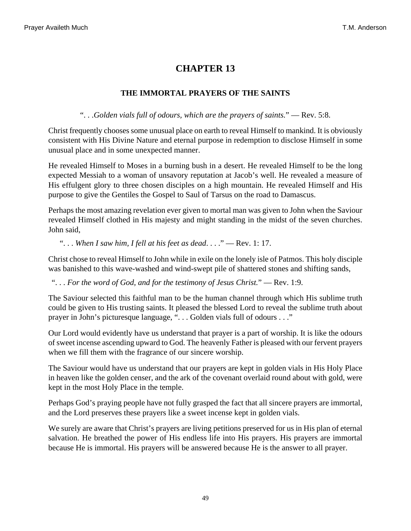### **THE IMMORTAL PRAYERS OF THE SAINTS**

". . .*Golden vials full of odours, which are the prayers of saints.*" — [Rev. 5:8.](http://www.ccel.org/b/bible/asv/xml/asv.Rev.5.xml#Rev.5.8)

<span id="page-48-2"></span>Christ frequently chooses some unusual place on earth to reveal Himself to mankind. It is obviously consistent with His Divine Nature and eternal purpose in redemption to disclose Himself in some unusual place and in some unexpected manner.

He revealed Himself to Moses in a burning bush in a desert. He revealed Himself to be the long expected Messiah to a woman of unsavory reputation at Jacob's well. He revealed a measure of His effulgent glory to three chosen disciples on a high mountain. He revealed Himself and His purpose to give the Gentiles the Gospel to Saul of Tarsus on the road to Damascus.

Perhaps the most amazing revelation ever given to mortal man was given to John when the Saviour revealed Himself clothed in His majesty and might standing in the midst of the seven churches. John said,

<span id="page-48-1"></span>". . . *When I saw him, I fell at his feet as dead*. . . ." — [Rev. 1: 17](http://www.ccel.org/b/bible/asv/xml/asv.Rev.1.xml#Rev.1.17).

<span id="page-48-0"></span>Christ chose to reveal Himself to John while in exile on the lonely isle of Patmos. This holy disciple was banished to this wave-washed and wind-swept pile of shattered stones and shifting sands,

". . . *For the word of God, and for the testimony of Jesus Christ.*" — [Rev. 1:9.](http://www.ccel.org/b/bible/asv/xml/asv.Rev.1.xml#Rev.1.9)

The Saviour selected this faithful man to be the human channel through which His sublime truth could be given to His trusting saints. It pleased the blessed Lord to reveal the sublime truth about prayer in John's picturesque language, ". . . Golden vials full of odours . . ."

Our Lord would evidently have us understand that prayer is a part of worship. It is like the odours of sweet incense ascending upward to God. The heavenly Father is pleased with our fervent prayers when we fill them with the fragrance of our sincere worship.

The Saviour would have us understand that our prayers are kept in golden vials in His Holy Place in heaven like the golden censer, and the ark of the covenant overlaid round about with gold, were kept in the most Holy Place in the temple.

Perhaps God's praying people have not fully grasped the fact that all sincere prayers are immortal, and the Lord preserves these prayers like a sweet incense kept in golden vials.

We surely are aware that Christ's prayers are living petitions preserved for us in His plan of eternal salvation. He breathed the power of His endless life into His prayers. His prayers are immortal because He is immortal. His prayers will be answered because He is the answer to all prayer.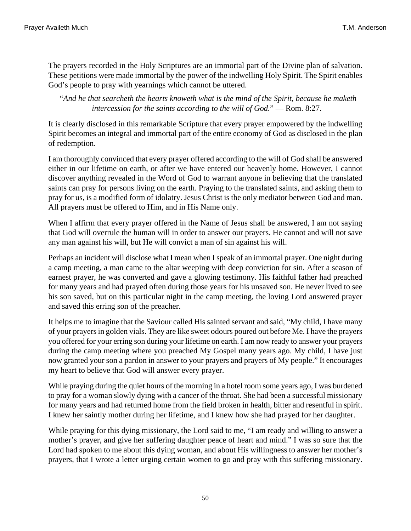The prayers recorded in the Holy Scriptures are an immortal part of the Divine plan of salvation. These petitions were made immortal by the power of the indwelling Holy Spirit. The Spirit enables God's people to pray with yearnings which cannot be uttered.

<span id="page-49-0"></span>"*And he that searcheth the hearts knoweth what is the mind of the Spirit, because he maketh intercession for the saints according to the will of God.*" — [Rom. 8:27](http://www.ccel.org/b/bible/asv/xml/asv.Rom.8.xml#Rom.8.27).

It is clearly disclosed in this remarkable Scripture that every prayer empowered by the indwelling Spirit becomes an integral and immortal part of the entire economy of God as disclosed in the plan of redemption.

I am thoroughly convinced that every prayer offered according to the will of God shall be answered either in our lifetime on earth, or after we have entered our heavenly home. However, I cannot discover anything revealed in the Word of God to warrant anyone in believing that the translated saints can pray for persons living on the earth. Praying to the translated saints, and asking them to pray for us, is a modified form of idolatry. Jesus Christ is the only mediator between God and man. All prayers must be offered to Him, and in His Name only.

When I affirm that every prayer offered in the Name of Jesus shall be answered, I am not saying that God will overrule the human will in order to answer our prayers. He cannot and will not save any man against his will, but He will convict a man of sin against his will.

Perhaps an incident will disclose what I mean when I speak of an immortal prayer. One night during a camp meeting, a man came to the altar weeping with deep conviction for sin. After a season of earnest prayer, he was converted and gave a glowing testimony. His faithful father had preached for many years and had prayed often during those years for his unsaved son. He never lived to see his son saved, but on this particular night in the camp meeting, the loving Lord answered prayer and saved this erring son of the preacher.

It helps me to imagine that the Saviour called His sainted servant and said, "My child, I have many of your prayers in golden vials. They are like sweet odours poured out before Me. I have the prayers you offered for your erring son during your lifetime on earth. I am now ready to answer your prayers during the camp meeting where you preached My Gospel many years ago. My child, I have just now granted your son a pardon in answer to your prayers and prayers of My people." It encourages my heart to believe that God will answer every prayer.

While praying during the quiet hours of the morning in a hotel room some years ago, I was burdened to pray for a woman slowly dying with a cancer of the throat. She had been a successful missionary for many years and had returned home from the field broken in health, bitter and resentful in spirit. I knew her saintly mother during her lifetime, and I knew how she had prayed for her daughter.

While praying for this dying missionary, the Lord said to me, "I am ready and willing to answer a mother's prayer, and give her suffering daughter peace of heart and mind." I was so sure that the Lord had spoken to me about this dying woman, and about His willingness to answer her mother's prayers, that I wrote a letter urging certain women to go and pray with this suffering missionary.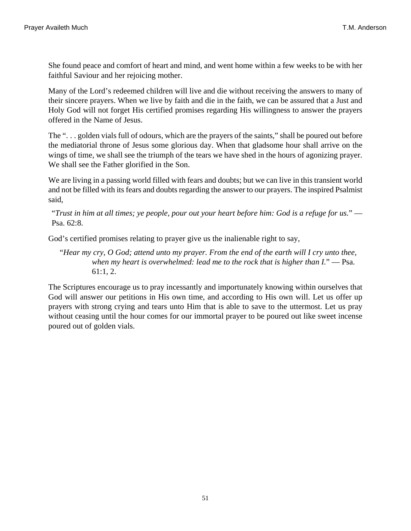She found peace and comfort of heart and mind, and went home within a few weeks to be with her faithful Saviour and her rejoicing mother.

Many of the Lord's redeemed children will live and die without receiving the answers to many of their sincere prayers. When we live by faith and die in the faith, we can be assured that a Just and Holy God will not forget His certified promises regarding His willingness to answer the prayers offered in the Name of Jesus.

The ". . . golden vials full of odours, which are the prayers of the saints," shall be poured out before the mediatorial throne of Jesus some glorious day. When that gladsome hour shall arrive on the wings of time, we shall see the triumph of the tears we have shed in the hours of agonizing prayer. We shall see the Father glorified in the Son.

We are living in a passing world filled with fears and doubts; but we can live in this transient world and not be filled with its fears and doubts regarding the answer to our prayers. The inspired Psalmist said,

<span id="page-50-1"></span>"*Trust in him at all times; ye people, pour out your heart before him: God is a refuge for us.*" — [Psa. 62:8](http://www.ccel.org/b/bible/asv/xml/asv.Ps.62.xml#Ps.62.8).

God's certified promises relating to prayer give us the inalienable right to say,

<span id="page-50-0"></span>"*Hear my cry, O God; attend unto my prayer. From the end of the earth will I cry unto thee, when my heart is overwhelmed: lead me to the rock that is higher than I.*" — [Psa.](http://www.ccel.org/b/bible/asv/xml/asv.Ps.61.xml#Ps.61.1 Bible:Ps.61.2) [61:1, 2](http://www.ccel.org/b/bible/asv/xml/asv.Ps.61.xml#Ps.61.1 Bible:Ps.61.2).

The Scriptures encourage us to pray incessantly and importunately knowing within ourselves that God will answer our petitions in His own time, and according to His own will. Let us offer up prayers with strong crying and tears unto Him that is able to save to the uttermost. Let us pray without ceasing until the hour comes for our immortal prayer to be poured out like sweet incense poured out of golden vials.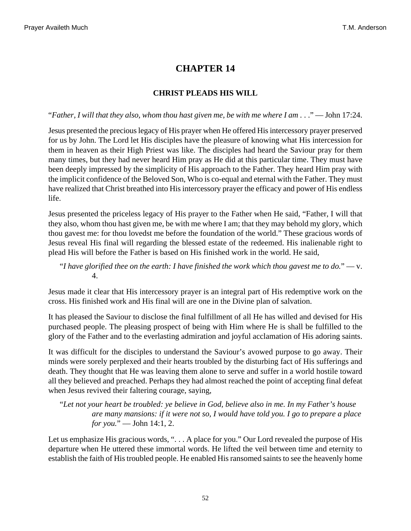### **CHRIST PLEADS HIS WILL**

#### <span id="page-51-2"></span>"*Father, I will that they also, whom thou hast given me, be with me where I am* . . ." — [John 17:24](http://www.ccel.org/b/bible/asv/xml/asv.John.17.xml#John.17.24).

Jesus presented the precious legacy of His prayer when He offered His intercessory prayer preserved for us by John. The Lord let His disciples have the pleasure of knowing what His intercession for them in heaven as their High Priest was like. The disciples had heard the Saviour pray for them many times, but they had never heard Him pray as He did at this particular time. They must have been deeply impressed by the simplicity of His approach to the Father. They heard Him pray with the implicit confidence of the Beloved Son, Who is co-equal and eternal with the Father. They must have realized that Christ breathed into His intercessory prayer the efficacy and power of His endless life.

Jesus presented the priceless legacy of His prayer to the Father when He said, "Father, I will that they also, whom thou hast given me, be with me where I am; that they may behold my glory, which thou gavest me: for thou lovedst me before the foundation of the world." These gracious words of Jesus reveal His final will regarding the blessed estate of the redeemed. His inalienable right to plead His will before the Father is based on His finished work in the world. He said,

<span id="page-51-1"></span>"*I have glorified thee on the earth: I have finished the work which thou gavest me to do.*" — [v.](http://www.ccel.org/b/bible/asv/xml/asv.John.17.xml#John.17.4) [4](http://www.ccel.org/b/bible/asv/xml/asv.John.17.xml#John.17.4).

Jesus made it clear that His intercessory prayer is an integral part of His redemptive work on the cross. His finished work and His final will are one in the Divine plan of salvation.

It has pleased the Saviour to disclose the final fulfillment of all He has willed and devised for His purchased people. The pleasing prospect of being with Him where He is shall be fulfilled to the glory of the Father and to the everlasting admiration and joyful acclamation of His adoring saints.

It was difficult for the disciples to understand the Saviour's avowed purpose to go away. Their minds were sorely perplexed and their hearts troubled by the disturbing fact of His sufferings and death. They thought that He was leaving them alone to serve and suffer in a world hostile toward all they believed and preached. Perhaps they had almost reached the point of accepting final defeat when Jesus revived their faltering courage, saying,

<span id="page-51-0"></span>"*Let not your heart be troubled: ye believe in God, believe also in me. In my Father's house are many mansions: if it were not so, I would have told you. I go to prepare a place for you.*" — [John 14:1, 2.](http://www.ccel.org/b/bible/asv/xml/asv.John.14.xml#John.14.1 Bible:John.14.2)

Let us emphasize His gracious words, ". . . A place for you." Our Lord revealed the purpose of His departure when He uttered these immortal words. He lifted the veil between time and eternity to establish the faith of His troubled people. He enabled His ransomed saints to see the heavenly home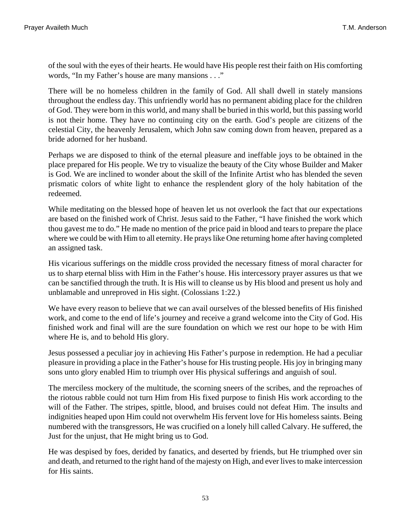of the soul with the eyes of their hearts. He would have His people rest their faith on His comforting words, "In my Father's house are many mansions . . ."

There will be no homeless children in the family of God. All shall dwell in stately mansions throughout the endless day. This unfriendly world has no permanent abiding place for the children of God. They were born in this world, and many shall be buried in this world, but this passing world is not their home. They have no continuing city on the earth. God's people are citizens of the celestial City, the heavenly Jerusalem, which John saw coming down from heaven, prepared as a bride adorned for her husband.

Perhaps we are disposed to think of the eternal pleasure and ineffable joys to be obtained in the place prepared for His people. We try to visualize the beauty of the City whose Builder and Maker is God. We are inclined to wonder about the skill of the Infinite Artist who has blended the seven prismatic colors of white light to enhance the resplendent glory of the holy habitation of the redeemed.

While meditating on the blessed hope of heaven let us not overlook the fact that our expectations are based on the finished work of Christ. Jesus said to the Father, "I have finished the work which thou gavest me to do." He made no mention of the price paid in blood and tears to prepare the place where we could be with Him to all eternity. He prays like One returning home after having completed an assigned task.

<span id="page-52-0"></span>His vicarious sufferings on the middle cross provided the necessary fitness of moral character for us to sharp eternal bliss with Him in the Father's house. His intercessory prayer assures us that we can be sanctified through the truth. It is His will to cleanse us by His blood and present us holy and unblamable and unreproved in His sight. [\(Colossians 1:22.](http://www.ccel.org/b/bible/asv/xml/asv.Col.1.xml#Col.1.22))

We have every reason to believe that we can avail ourselves of the blessed benefits of His finished work, and come to the end of life's journey and receive a grand welcome into the City of God. His finished work and final will are the sure foundation on which we rest our hope to be with Him where He is, and to behold His glory.

Jesus possessed a peculiar joy in achieving His Father's purpose in redemption. He had a peculiar pleasure in providing a place in the Father's house for His trusting people. His joy in bringing many sons unto glory enabled Him to triumph over His physical sufferings and anguish of soul.

The merciless mockery of the multitude, the scorning sneers of the scribes, and the reproaches of the riotous rabble could not turn Him from His fixed purpose to finish His work according to the will of the Father. The stripes, spittle, blood, and bruises could not defeat Him. The insults and indignities heaped upon Him could not overwhelm His fervent love for His homeless saints. Being numbered with the transgressors, He was crucified on a lonely hill called Calvary. He suffered, the Just for the unjust, that He might bring us to God.

He was despised by foes, derided by fanatics, and deserted by friends, but He triumphed over sin and death, and returned to the right hand of the majesty on High, and ever lives to make intercession for His saints.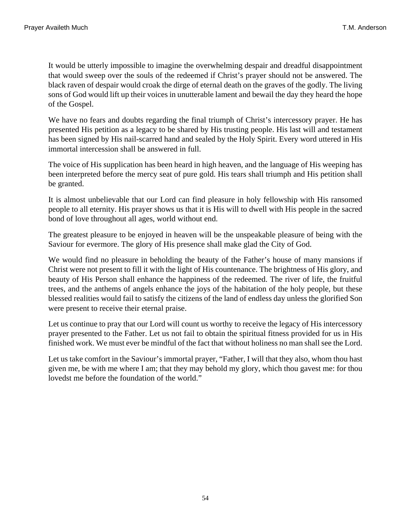It would be utterly impossible to imagine the overwhelming despair and dreadful disappointment that would sweep over the souls of the redeemed if Christ's prayer should not be answered. The black raven of despair would croak the dirge of eternal death on the graves of the godly. The living sons of God would lift up their voices in unutterable lament and bewail the day they heard the hope of the Gospel.

We have no fears and doubts regarding the final triumph of Christ's intercessory prayer. He has presented His petition as a legacy to be shared by His trusting people. His last will and testament has been signed by His nail-scarred hand and sealed by the Holy Spirit. Every word uttered in His immortal intercession shall be answered in full.

The voice of His supplication has been heard in high heaven, and the language of His weeping has been interpreted before the mercy seat of pure gold. His tears shall triumph and His petition shall be granted.

It is almost unbelievable that our Lord can find pleasure in holy fellowship with His ransomed people to all eternity. His prayer shows us that it is His will to dwell with His people in the sacred bond of love throughout all ages, world without end.

The greatest pleasure to be enjoyed in heaven will be the unspeakable pleasure of being with the Saviour for evermore. The glory of His presence shall make glad the City of God.

We would find no pleasure in beholding the beauty of the Father's house of many mansions if Christ were not present to fill it with the light of His countenance. The brightness of His glory, and beauty of His Person shall enhance the happiness of the redeemed. The river of life, the fruitful trees, and the anthems of angels enhance the joys of the habitation of the holy people, but these blessed realities would fail to satisfy the citizens of the land of endless day unless the glorified Son were present to receive their eternal praise.

Let us continue to pray that our Lord will count us worthy to receive the legacy of His intercessory prayer presented to the Father. Let us not fail to obtain the spiritual fitness provided for us in His finished work. We must ever be mindful of the fact that without holiness no man shall see the Lord.

Let us take comfort in the Saviour's immortal prayer, "Father, I will that they also, whom thou hast given me, be with me where I am; that they may behold my glory, which thou gavest me: for thou lovedst me before the foundation of the world."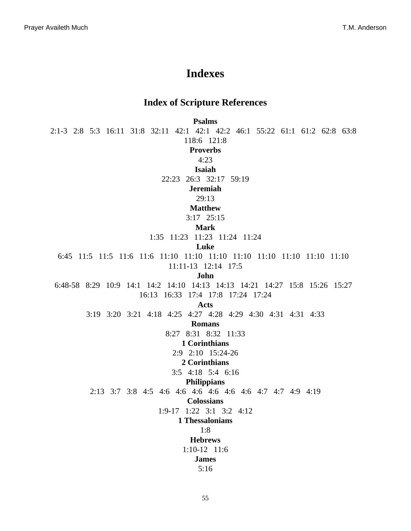# **Indexes**

### **Index of Scripture References**

**Psalms**

[2:1-3](#page-25-0)  [2:8](#page-35-0) [5:3](#page-6-0) [16:11](#page-8-0)  [31:8](#page-45-0) [32:11](#page-9-0) [42:1](#page-22-0)  [42:1](#page-45-1) [42:2](#page-22-0)  [46:1](#page-26-0)  [55:22](#page-12-0) [61:1](#page-50-0)  [61:2](#page-50-0)  [62:8](#page-50-1) [63:8](#page-22-1) [118:6](#page-26-1)  [121:8](#page-46-0) **Proverbs** [4:23](#page-11-0) **Isaiah** [22:23](#page-46-1)  [26:3](#page-12-1) [32:17](#page-11-1) [59:19](#page-25-1) **Jeremiah** [29:13](#page-40-0) **Matthew** [3:17](#page-43-0) [25:15](#page-14-0) **Mark** [1:35](#page-6-1) [11:23](#page-1-0)  [11:23](#page-17-0) [11:24](#page-1-1)  [11:24](#page-21-0) **Luke** [6:45](#page-15-0) [11:5](#page-1-2) [11:5](#page-30-0)  [11:6](#page-1-2) [11:6](#page-30-0) [11:10](#page-1-3)  [11:10](#page-1-4) [11:10](#page-1-5)  [11:10](#page-1-6)  [11:10](#page-34-0) [11:10](#page-36-0)  [11:10](#page-39-0)  [11:10](#page-44-0) [11:11-13](#page-36-1)  [12:14](#page-7-0) [17:5](#page-17-1) **John** [6:48-58](#page-35-1) [8:29](#page-43-1) [10:9](#page-44-1)  [14:1](#page-51-0) [14:2](#page-51-0) [14:10](#page-15-1)  [14:13](#page-1-7) [14:13](#page-13-0)  [14:21](#page-42-0)  [14:27](#page-10-0) [15:8](#page-13-1)  [15:26](#page-31-0)  [15:27](#page-31-0) [16:13](#page-39-1) [16:33](#page-11-2)  [17:4](#page-51-1)  [17:8](#page-45-2) [17:24](#page-2-0)  [17:24](#page-51-2) **Acts** [3:19](#page-25-2) [3:20](#page-20-0)  [3:21](#page-20-0) [4:18](#page-27-0) [4:25](#page-25-0)  [4:27](#page-26-2)  [4:28](#page-26-2) [4:29](#page-27-1)  [4:30](#page-28-0) [4:31](#page-1-8) [4:31](#page-24-0)  [4:33](#page-28-1) **Romans** [8:27](#page-49-0)  [8:31](#page-19-0) [8:32](#page-34-1) [11:33](#page-45-3) **1 Corinthians** [2:9](#page-40-1)  [2:10](#page-40-1) [15:24-26](#page-20-1) **2 Corinthians** [3:5](#page-32-0)  [4:18](#page-40-2)  [5:4](#page-22-2) [6:16](#page-7-1) **Philippians** [2:13](#page-15-2)  [3:7](#page-40-3) [3:8](#page-40-3)  [4:5](#page-8-1) [4:6](#page-1-9) [4:6](#page-1-10)  [4:6](#page-1-11)  [4:6](#page-4-0) [4:6](#page-7-2)  [4:6](#page-10-1) [4:7](#page-1-11) [4:7](#page-10-1)  [4:9](#page-11-3)  [4:19](#page-7-3) **Colossians** [1:9-17](#page-30-1) [1:22](#page-52-0)  [3:1](#page-46-2) [3:2](#page-46-3)  [4:12](#page-30-2) **1 Thessalonians** [1:8](#page-31-1) **Hebrews** [1:10-12](#page-27-2)  [11:6](#page-43-2) **James** [5:16](#page-0-0)